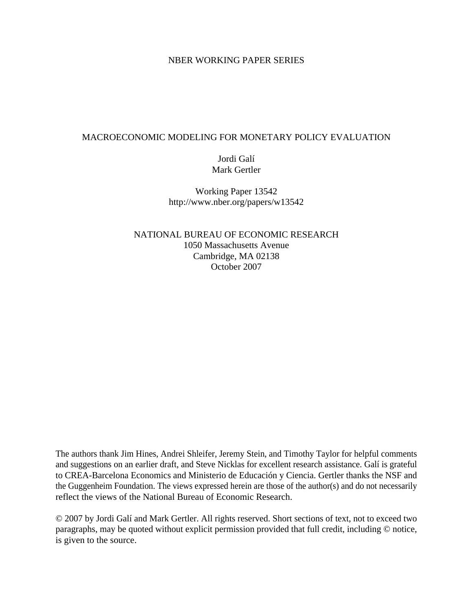### NBER WORKING PAPER SERIES

### MACROECONOMIC MODELING FOR MONETARY POLICY EVALUATION

## Jordi Galí Mark Gertler

Working Paper 13542 http://www.nber.org/papers/w13542

NATIONAL BUREAU OF ECONOMIC RESEARCH 1050 Massachusetts Avenue Cambridge, MA 02138 October 2007

The authors thank Jim Hines, Andrei Shleifer, Jeremy Stein, and Timothy Taylor for helpful comments and suggestions on an earlier draft, and Steve Nicklas for excellent research assistance. Galí is grateful to CREA-Barcelona Economics and Ministerio de Educación y Ciencia. Gertler thanks the NSF and the Guggenheim Foundation. The views expressed herein are those of the author(s) and do not necessarily reflect the views of the National Bureau of Economic Research.

© 2007 by Jordi Galí and Mark Gertler. All rights reserved. Short sections of text, not to exceed two paragraphs, may be quoted without explicit permission provided that full credit, including © notice, is given to the source.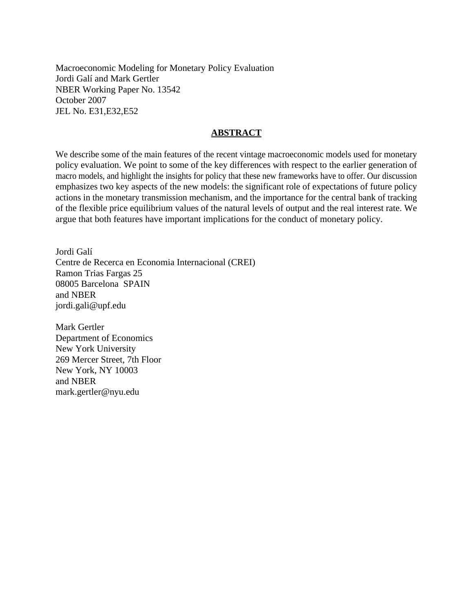Macroeconomic Modeling for Monetary Policy Evaluation Jordi Galí and Mark Gertler NBER Working Paper No. 13542 October 2007 JEL No. E31,E32,E52

### **ABSTRACT**

We describe some of the main features of the recent vintage macroeconomic models used for monetary policy evaluation. We point to some of the key differences with respect to the earlier generation of macro models, and highlight the insights for policy that these new frameworks have to offer. Our discussion emphasizes two key aspects of the new models: the significant role of expectations of future policy actions in the monetary transmission mechanism, and the importance for the central bank of tracking of the flexible price equilibrium values of the natural levels of output and the real interest rate. We argue that both features have important implications for the conduct of monetary policy.

Jordi Galí Centre de Recerca en Economia Internacional (CREI) Ramon Trias Fargas 25 08005 Barcelona SPAIN and NBER jordi.gali@upf.edu

Mark Gertler Department of Economics New York University 269 Mercer Street, 7th Floor New York, NY 10003 and NBER mark.gertler@nyu.edu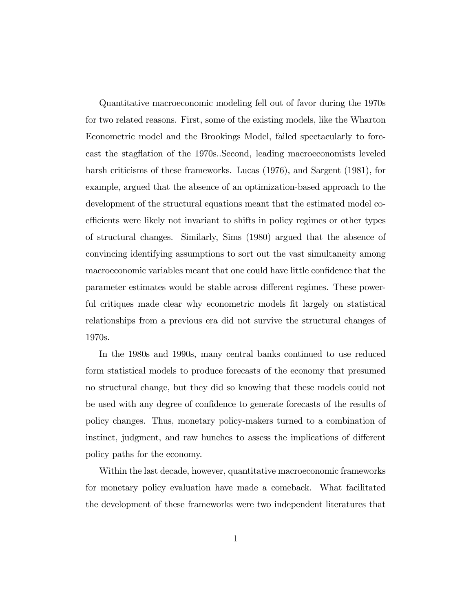Quantitative macroeconomic modeling fell out of favor during the 1970s for two related reasons. First, some of the existing models, like the Wharton Econometric model and the Brookings Model, failed spectacularly to forecast the stagáation of the 1970s..Second, leading macroeconomists leveled harsh criticisms of these frameworks. Lucas (1976), and Sargent (1981), for example, argued that the absence of an optimization-based approach to the development of the structural equations meant that the estimated model coefficients were likely not invariant to shifts in policy regimes or other types of structural changes. Similarly, Sims (1980) argued that the absence of convincing identifying assumptions to sort out the vast simultaneity among macroeconomic variables meant that one could have little confidence that the parameter estimates would be stable across different regimes. These powerful critiques made clear why econometric models fit largely on statistical relationships from a previous era did not survive the structural changes of 1970s.

In the 1980s and 1990s, many central banks continued to use reduced form statistical models to produce forecasts of the economy that presumed no structural change, but they did so knowing that these models could not be used with any degree of confidence to generate forecasts of the results of policy changes. Thus, monetary policy-makers turned to a combination of instinct, judgment, and raw hunches to assess the implications of different policy paths for the economy.

Within the last decade, however, quantitative macroeconomic frameworks for monetary policy evaluation have made a comeback. What facilitated the development of these frameworks were two independent literatures that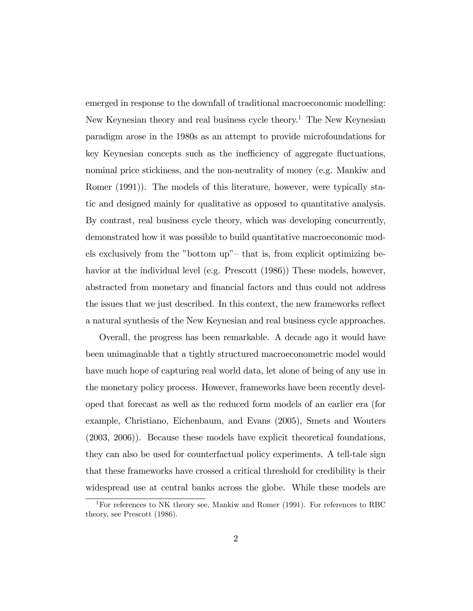emerged in response to the downfall of traditional macroeconomic modelling: New Keynesian theory and real business cycle theory.<sup>1</sup> The New Keynesian paradigm arose in the 1980s as an attempt to provide microfoundations for key Keynesian concepts such as the inefficiency of aggregate fluctuations, nominal price stickiness, and the non-neutrality of money (e.g. Mankiw and Romer (1991)). The models of this literature, however, were typically static and designed mainly for qualitative as opposed to quantitative analysis. By contrast, real business cycle theory, which was developing concurrently, demonstrated how it was possible to build quantitative macroeconomic models exclusively from the "bottom up"- that is, from explicit optimizing behavior at the individual level (e.g. Prescott (1986)) These models, however, abstracted from monetary and Önancial factors and thus could not address the issues that we just described. In this context, the new frameworks reflect a natural synthesis of the New Keynesian and real business cycle approaches.

Overall, the progress has been remarkable. A decade ago it would have been unimaginable that a tightly structured macroeconometric model would have much hope of capturing real world data, let alone of being of any use in the monetary policy process. However, frameworks have been recently developed that forecast as well as the reduced form models of an earlier era (for example, Christiano, Eichenbaum, and Evans (2005), Smets and Wouters (2003, 2006)). Because these models have explicit theoretical foundations, they can also be used for counterfactual policy experiments. A tell-tale sign that these frameworks have crossed a critical threshold for credibility is their widespread use at central banks across the globe. While these models are

<sup>&</sup>lt;sup>1</sup>For references to NK theory see, Mankiw and Romer (1991). For references to RBC theory, see Prescott (1986).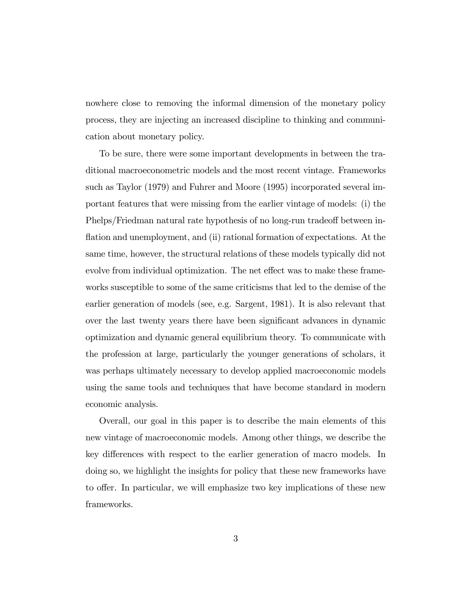nowhere close to removing the informal dimension of the monetary policy process, they are injecting an increased discipline to thinking and communication about monetary policy.

To be sure, there were some important developments in between the traditional macroeconometric models and the most recent vintage. Frameworks such as Taylor (1979) and Fuhrer and Moore (1995) incorporated several important features that were missing from the earlier vintage of models: (i) the Phelps/Friedman natural rate hypothesis of no long-run tradeoff between inflation and unemployment, and (ii) rational formation of expectations. At the same time, however, the structural relations of these models typically did not evolve from individual optimization. The net effect was to make these frameworks susceptible to some of the same criticisms that led to the demise of the earlier generation of models (see, e.g. Sargent, 1981). It is also relevant that over the last twenty years there have been significant advances in dynamic optimization and dynamic general equilibrium theory. To communicate with the profession at large, particularly the younger generations of scholars, it was perhaps ultimately necessary to develop applied macroeconomic models using the same tools and techniques that have become standard in modern economic analysis.

Overall, our goal in this paper is to describe the main elements of this new vintage of macroeconomic models. Among other things, we describe the key differences with respect to the earlier generation of macro models. In doing so, we highlight the insights for policy that these new frameworks have to offer. In particular, we will emphasize two key implications of these new frameworks.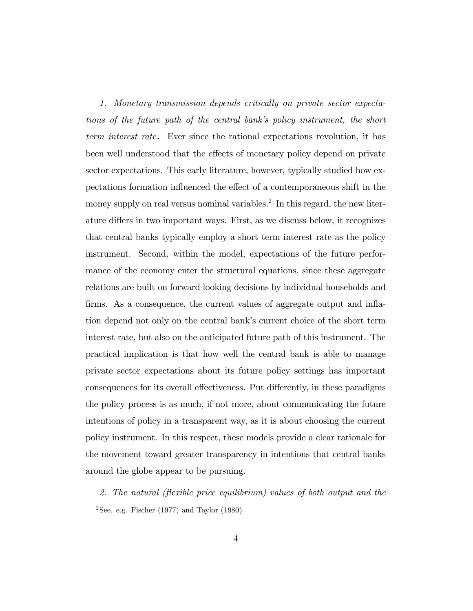1. Monetary transmission depends critically on private sector expectations of the future path of the central bankís policy instrument, the short term interest rate. Ever since the rational expectations revolution, it has been well understood that the effects of monetary policy depend on private sector expectations. This early literature, however, typically studied how expectations formation influenced the effect of a contemporaneous shift in the money supply on real versus nominal variables.<sup>2</sup> In this regard, the new literature differs in two important ways. First, as we discuss below, it recognizes that central banks typically employ a short term interest rate as the policy instrument. Second, within the model, expectations of the future performance of the economy enter the structural equations, since these aggregate relations are built on forward looking decisions by individual households and firms. As a consequence, the current values of aggregate output and inflation depend not only on the central bank's current choice of the short term interest rate, but also on the anticipated future path of this instrument. The practical implication is that how well the central bank is able to manage private sector expectations about its future policy settings has important consequences for its overall effectiveness. Put differently, in these paradigms the policy process is as much, if not more, about communicating the future intentions of policy in a transparent way, as it is about choosing the current policy instrument. In this respect, these models provide a clear rationale for the movement toward greater transparency in intentions that central banks around the globe appear to be pursuing.

2. The natural (flexible price equilibrium) values of both output and the

<sup>&</sup>lt;sup>2</sup>See. e.g. Fischer (1977) and Taylor (1980)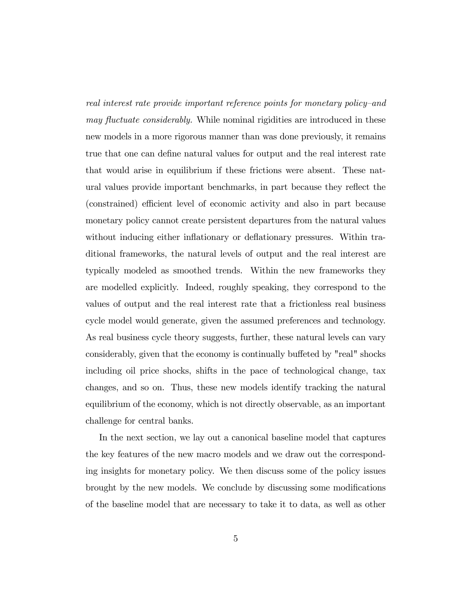real interest rate provide important reference points for monetary policy-and may fluctuate considerably. While nominal rigidities are introduced in these new models in a more rigorous manner than was done previously, it remains true that one can define natural values for output and the real interest rate that would arise in equilibrium if these frictions were absent. These natural values provide important benchmarks, in part because they reflect the (constrained) efficient level of economic activity and also in part because monetary policy cannot create persistent departures from the natural values without inducing either inflationary or deflationary pressures. Within traditional frameworks, the natural levels of output and the real interest are typically modeled as smoothed trends. Within the new frameworks they are modelled explicitly. Indeed, roughly speaking, they correspond to the values of output and the real interest rate that a frictionless real business cycle model would generate, given the assumed preferences and technology. As real business cycle theory suggests, further, these natural levels can vary considerably, given that the economy is continually buffeted by "real" shocks including oil price shocks, shifts in the pace of technological change, tax changes, and so on. Thus, these new models identify tracking the natural equilibrium of the economy, which is not directly observable, as an important challenge for central banks.

In the next section, we lay out a canonical baseline model that captures the key features of the new macro models and we draw out the corresponding insights for monetary policy. We then discuss some of the policy issues brought by the new models. We conclude by discussing some modifications of the baseline model that are necessary to take it to data, as well as other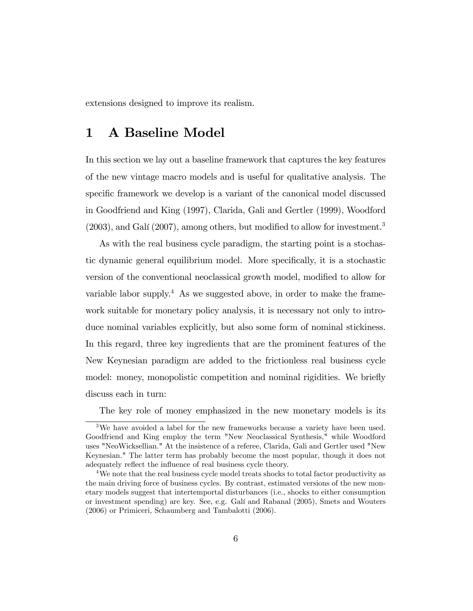extensions designed to improve its realism.

## 1 A Baseline Model

In this section we lay out a baseline framework that captures the key features of the new vintage macro models and is useful for qualitative analysis. The specific framework we develop is a variant of the canonical model discussed in Goodfriend and King (1997), Clarida, Gali and Gertler (1999), Woodford  $(2003)$ , and Galí  $(2007)$ , among others, but modified to allow for investment.<sup>3</sup>

As with the real business cycle paradigm, the starting point is a stochastic dynamic general equilibrium model. More specifically, it is a stochastic version of the conventional neoclassical growth model, modified to allow for variable labor supply.<sup>4</sup> As we suggested above, in order to make the framework suitable for monetary policy analysis, it is necessary not only to introduce nominal variables explicitly, but also some form of nominal stickiness. In this regard, three key ingredients that are the prominent features of the New Keynesian paradigm are added to the frictionless real business cycle model: money, monopolistic competition and nominal rigidities. We briefly discuss each in turn:

The key role of money emphasized in the new monetary models is its

<sup>&</sup>lt;sup>3</sup>We have avoided a label for the new frameworks because a variety have been used. Goodfriend and King employ the term "New Neoclassical Synthesis," while Woodford uses "NeoWicksellian." At the insistence of a referee, Clarida, Gali and Gertler used "New Keynesian." The latter term has probably become the most popular, though it does not adequately reflect the influence of real business cycle theory.

<sup>&</sup>lt;sup>4</sup>We note that the real business cycle model treats shocks to total factor productivity as the main driving force of business cycles. By contrast, estimated versions of the new monetary models suggest that intertemportal disturbances (i.e., shocks to either consumption or investment spending) are key. See, e.g. GalÌ and Rabanal (2005), Smets and Wouters (2006) or Primiceri, Schaumberg and Tambalotti (2006).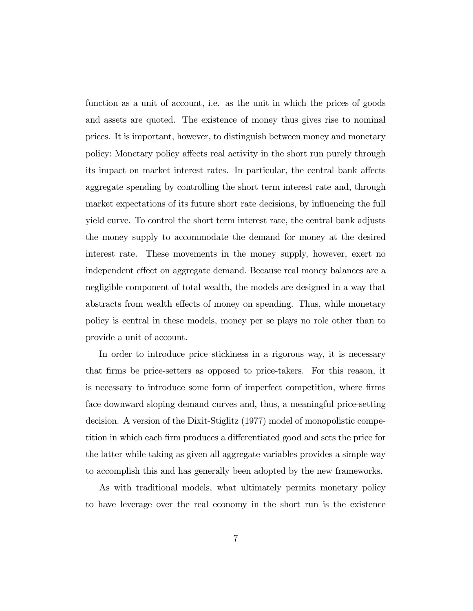function as a unit of account, i.e. as the unit in which the prices of goods and assets are quoted. The existence of money thus gives rise to nominal prices. It is important, however, to distinguish between money and monetary policy: Monetary policy affects real activity in the short run purely through its impact on market interest rates. In particular, the central bank affects aggregate spending by controlling the short term interest rate and, through market expectations of its future short rate decisions, by influencing the full yield curve. To control the short term interest rate, the central bank adjusts the money supply to accommodate the demand for money at the desired interest rate. These movements in the money supply, however, exert no independent effect on aggregate demand. Because real money balances are a negligible component of total wealth, the models are designed in a way that abstracts from wealth effects of money on spending. Thus, while monetary policy is central in these models, money per se plays no role other than to provide a unit of account.

In order to introduce price stickiness in a rigorous way, it is necessary that Örms be price-setters as opposed to price-takers. For this reason, it is necessary to introduce some form of imperfect competition, where firms face downward sloping demand curves and, thus, a meaningful price-setting decision. A version of the Dixit-Stiglitz (1977) model of monopolistic competition in which each firm produces a differentiated good and sets the price for the latter while taking as given all aggregate variables provides a simple way to accomplish this and has generally been adopted by the new frameworks.

As with traditional models, what ultimately permits monetary policy to have leverage over the real economy in the short run is the existence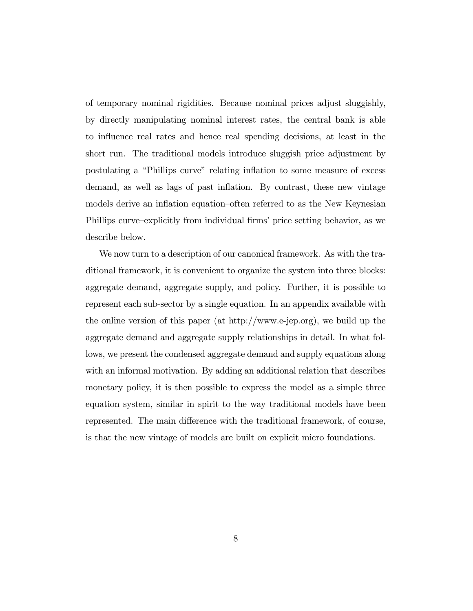of temporary nominal rigidities. Because nominal prices adjust sluggishly, by directly manipulating nominal interest rates, the central bank is able to influence real rates and hence real spending decisions, at least in the short run. The traditional models introduce sluggish price adjustment by postulating a "Phillips curve" relating inflation to some measure of excess demand, as well as lags of past inflation. By contrast, these new vintage models derive an inflation equation-often referred to as the New Keynesian Phillips curve–explicitly from individual firms' price setting behavior, as we describe below.

We now turn to a description of our canonical framework. As with the traditional framework, it is convenient to organize the system into three blocks: aggregate demand, aggregate supply, and policy. Further, it is possible to represent each sub-sector by a single equation. In an appendix available with the online version of this paper (at http://www.e-jep.org), we build up the aggregate demand and aggregate supply relationships in detail. In what follows, we present the condensed aggregate demand and supply equations along with an informal motivation. By adding an additional relation that describes monetary policy, it is then possible to express the model as a simple three equation system, similar in spirit to the way traditional models have been represented. The main difference with the traditional framework, of course, is that the new vintage of models are built on explicit micro foundations.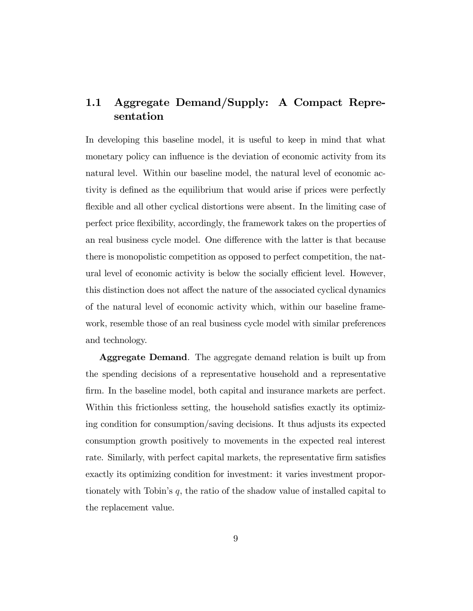## 1.1 Aggregate Demand/Supply: A Compact Representation

In developing this baseline model, it is useful to keep in mind that what monetary policy can influence is the deviation of economic activity from its natural level. Within our baseline model, the natural level of economic activity is defined as the equilibrium that would arise if prices were perfectly flexible and all other cyclical distortions were absent. In the limiting case of perfect price áexibility, accordingly, the framework takes on the properties of an real business cycle model. One difference with the latter is that because there is monopolistic competition as opposed to perfect competition, the natural level of economic activity is below the socially efficient level. However, this distinction does not affect the nature of the associated cyclical dynamics of the natural level of economic activity which, within our baseline framework, resemble those of an real business cycle model with similar preferences and technology.

Aggregate Demand. The aggregate demand relation is built up from the spending decisions of a representative household and a representative firm. In the baseline model, both capital and insurance markets are perfect. Within this frictionless setting, the household satisfies exactly its optimizing condition for consumption/saving decisions. It thus adjusts its expected consumption growth positively to movements in the expected real interest rate. Similarly, with perfect capital markets, the representative firm satisfies exactly its optimizing condition for investment: it varies investment proportionately with Tobin's  $q$ , the ratio of the shadow value of installed capital to the replacement value.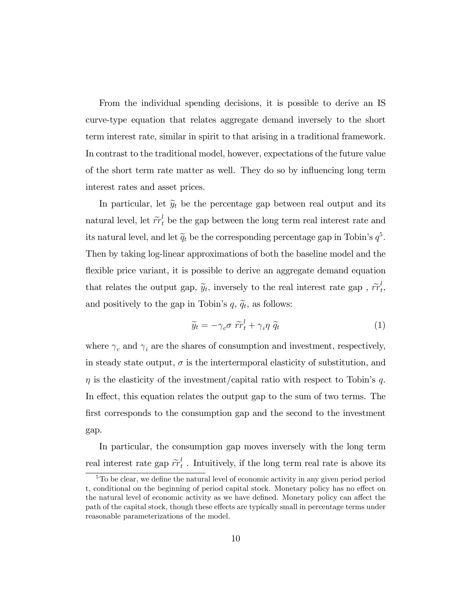From the individual spending decisions, it is possible to derive an IS curve-type equation that relates aggregate demand inversely to the short term interest rate, similar in spirit to that arising in a traditional framework. In contrast to the traditional model, however, expectations of the future value of the short term rate matter as well. They do so by influencing long term interest rates and asset prices.

In particular, let  $\tilde{y}_t$  be the percentage gap between real output and its natural level, let  $\tilde{r}^{l}_{t}$  be the gap between the long term real interest rate and its natural level, and let  $\tilde{q}_t$  be the corresponding percentage gap in Tobin's  $q^5$ . Then by taking log-linear approximations of both the baseline model and the flexible price variant, it is possible to derive an aggregate demand equation that relates the output gap,  $\tilde{y}_t$ , inversely to the real interest rate gap,  $\tilde{rr}_t^l$ ι<br>t, and positively to the gap in Tobin's  $q, \tilde{q}_t$ , as follows:

$$
\widetilde{y}_t = -\gamma_c \sigma \ \widetilde{rr}_t^l + \gamma_i \eta \ \widetilde{q}_t \tag{1}
$$

where  $\gamma_c$  and  $\gamma_i$  are the shares of consumption and investment, respectively, in steady state output,  $\sigma$  is the intertermporal elasticity of substitution, and  $\eta$  is the elasticity of the investment/capital ratio with respect to Tobin's q. In effect, this equation relates the output gap to the sum of two terms. The first corresponds to the consumption gap and the second to the investment gap.

In particular, the consumption gap moves inversely with the long term real interest rate gap  $\tilde{rr}_t^l$  $t<sub>t</sub>$ . Intuitively, if the long term real rate is above its

<sup>&</sup>lt;sup>5</sup>To be clear, we define the natural level of economic activity in any given period period t, conditional on the beginning of period capital stock. Monetary policy has no effect on the natural level of economic activity as we have defined. Monetary policy can affect the path of the capital stock, though these effects are typically small in percentage terms under reasonable parameterizations of the model.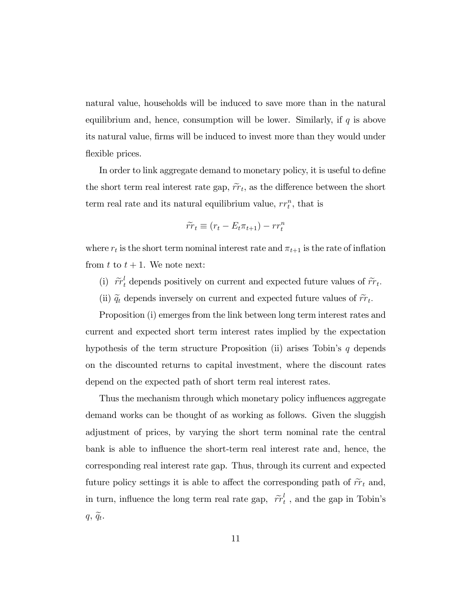natural value, households will be induced to save more than in the natural equilibrium and, hence, consumption will be lower. Similarly, if  $q$  is above its natural value, firms will be induced to invest more than they would under flexible prices.

In order to link aggregate demand to monetary policy, it is useful to define the short term real interest rate gap,  $\tilde{rr}_t$ , as the difference between the short term real rate and its natural equilibrium value,  $rr_t^n$ , that is

$$
\widetilde{rr}_t \equiv (r_t - E_t \pi_{t+1}) - rr_t^n
$$

where  $r_t$  is the short term nominal interest rate and  $\pi_{t+1}$  is the rate of inflation from  $t$  to  $t + 1$ . We note next:

- (i)  $\tilde{rr}_t^l$  depends positively on current and expected future values of  $\tilde{rr}_t$ .
- (ii)  $\tilde{q}_t$  depends inversely on current and expected future values of  $\tilde{rr}_t$ .

Proposition (i) emerges from the link between long term interest rates and current and expected short term interest rates implied by the expectation hypothesis of the term structure Proposition (ii) arises Tobin's  $q$  depends on the discounted returns to capital investment, where the discount rates depend on the expected path of short term real interest rates.

Thus the mechanism through which monetary policy influences aggregate demand works can be thought of as working as follows. Given the sluggish adjustment of prices, by varying the short term nominal rate the central bank is able to influence the short-term real interest rate and, hence, the corresponding real interest rate gap. Thus, through its current and expected future policy settings it is able to affect the corresponding path of  $\tilde{rr}_t$  and, in turn, influence the long term real rate gap,  $\tilde{rr}_t^l$  $t_t$ , and the gap in Tobin's  $q, \widetilde{q}_t.$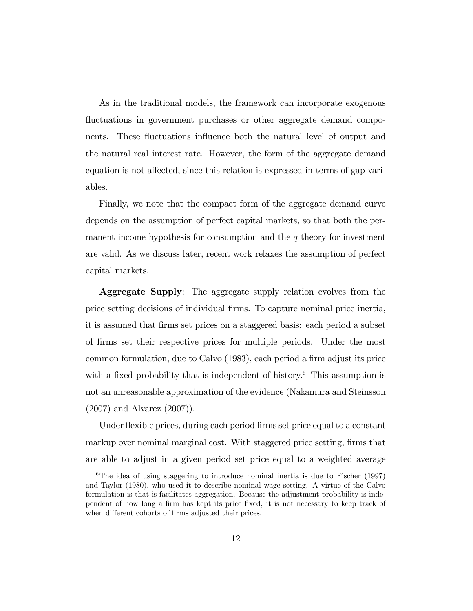As in the traditional models, the framework can incorporate exogenous fluctuations in government purchases or other aggregate demand components. These fluctuations influence both the natural level of output and the natural real interest rate. However, the form of the aggregate demand equation is not affected, since this relation is expressed in terms of gap variables.

Finally, we note that the compact form of the aggregate demand curve depends on the assumption of perfect capital markets, so that both the permanent income hypothesis for consumption and the  $q$  theory for investment are valid. As we discuss later, recent work relaxes the assumption of perfect capital markets.

Aggregate Supply: The aggregate supply relation evolves from the price setting decisions of individual Örms. To capture nominal price inertia, it is assumed that Örms set prices on a staggered basis: each period a subset of Örms set their respective prices for multiple periods. Under the most common formulation, due to Calvo (1983), each period a firm adjust its price with a fixed probability that is independent of history.<sup>6</sup> This assumption is not an unreasonable approximation of the evidence (Nakamura and Steinsson (2007) and Alvarez (2007)).

Under flexible prices, during each period firms set price equal to a constant markup over nominal marginal cost. With staggered price setting, firms that are able to adjust in a given period set price equal to a weighted average

<sup>&</sup>lt;sup>6</sup>The idea of using staggering to introduce nominal inertia is due to Fischer  $(1997)$ and Taylor (1980), who used it to describe nominal wage setting. A virtue of the Calvo formulation is that is facilitates aggregation. Because the adjustment probability is independent of how long a firm has kept its price fixed, it is not necessary to keep track of when different cohorts of firms adjusted their prices.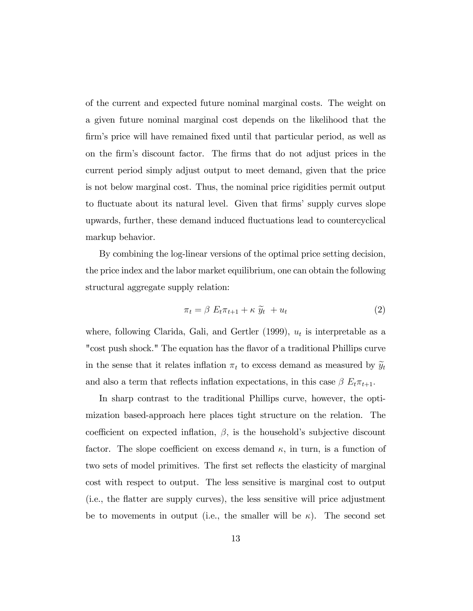of the current and expected future nominal marginal costs. The weight on a given future nominal marginal cost depends on the likelihood that the Örmís price will have remained Öxed until that particular period, as well as on the Örmís discount factor. The Örms that do not adjust prices in the current period simply adjust output to meet demand, given that the price is not below marginal cost. Thus, the nominal price rigidities permit output to fluctuate about its natural level. Given that firms' supply curves slope upwards, further, these demand induced áuctuations lead to countercyclical markup behavior.

By combining the log-linear versions of the optimal price setting decision, the price index and the labor market equilibrium, one can obtain the following structural aggregate supply relation:

$$
\pi_t = \beta \ E_t \pi_{t+1} + \kappa \ \widetilde{y}_t \ + u_t \tag{2}
$$

where, following Clarida, Gali, and Gertler  $(1999)$ ,  $u_t$  is interpretable as a "cost push shock." The equation has the flavor of a traditional Phillips curve in the sense that it relates inflation  $\pi_t$  to excess demand as measured by  $\widetilde{y}_t$ and also a term that reflects inflation expectations, in this case  $\beta E_t \pi_{t+1}$ .

In sharp contrast to the traditional Phillips curve, however, the optimization based-approach here places tight structure on the relation. The coefficient on expected inflation,  $\beta$ , is the household's subjective discount factor. The slope coefficient on excess demand  $\kappa$ , in turn, is a function of two sets of model primitives. The first set reflects the elasticity of marginal cost with respect to output. The less sensitive is marginal cost to output (i.e., the áatter are supply curves), the less sensitive will price adjustment be to movements in output (i.e., the smaller will be  $\kappa$ ). The second set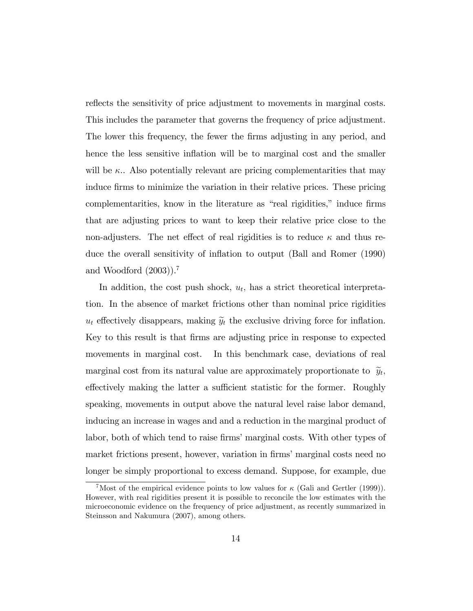reflects the sensitivity of price adjustment to movements in marginal costs. This includes the parameter that governs the frequency of price adjustment. The lower this frequency, the fewer the Örms adjusting in any period, and hence the less sensitive inflation will be to marginal cost and the smaller will be  $\kappa$ .. Also potentially relevant are pricing complementarities that may induce firms to minimize the variation in their relative prices. These pricing complementarities, know in the literature as "real rigidities," induce firms that are adjusting prices to want to keep their relative price close to the non-adjusters. The net effect of real rigidities is to reduce  $\kappa$  and thus reduce the overall sensitivity of ináation to output (Ball and Romer (1990) and Woodford (2003)).<sup>7</sup>

In addition, the cost push shock,  $u_t$ , has a strict theoretical interpretation. In the absence of market frictions other than nominal price rigidities  $u_t$  effectively disappears, making  $\widetilde{y}_t$  the exclusive driving force for inflation. Key to this result is that Örms are adjusting price in response to expected movements in marginal cost. In this benchmark case, deviations of real marginal cost from its natural value are approximately proportionate to  $\tilde{y}_t$ , effectively making the latter a sufficient statistic for the former. Roughly speaking, movements in output above the natural level raise labor demand, inducing an increase in wages and and a reduction in the marginal product of labor, both of which tend to raise firms' marginal costs. With other types of market frictions present, however, variation in firms' marginal costs need no longer be simply proportional to excess demand. Suppose, for example, due

<sup>&</sup>lt;sup>7</sup>Most of the empirical evidence points to low values for  $\kappa$  (Gali and Gertler (1999)). However, with real rigidities present it is possible to reconcile the low estimates with the microeconomic evidence on the frequency of price adjustment, as recently summarized in Steinsson and Nakumura (2007), among others.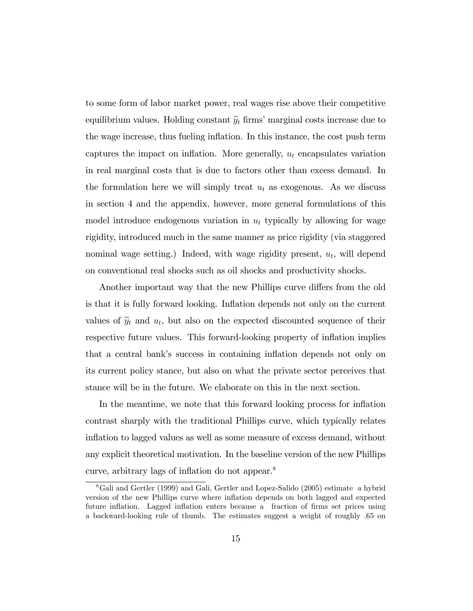to some form of labor market power, real wages rise above their competitive equilibrium values. Holding constant  $\widetilde{y}_t$  firms' marginal costs increase due to the wage increase, thus fueling ináation. In this instance, the cost push term captures the impact on inflation. More generally,  $u_t$  encapsulates variation in real marginal costs that is due to factors other than excess demand. In the formulation here we will simply treat  $u_t$  as exogenous. As we discuss in section 4 and the appendix, however, more general formulations of this model introduce endogenous variation in  $u_t$  typically by allowing for wage rigidity, introduced much in the same manner as price rigidity (via staggered nominal wage setting.) Indeed, with wage rigidity present,  $u_t$ , will depend on conventional real shocks such as oil shocks and productivity shocks.

Another important way that the new Phillips curve differs from the old is that it is fully forward looking. Inflation depends not only on the current values of  $\tilde{y}_t$  and  $u_t$ , but also on the expected discounted sequence of their respective future values. This forward-looking property of inflation implies that a central bankís success in containing ináation depends not only on its current policy stance, but also on what the private sector perceives that stance will be in the future. We elaborate on this in the next section.

In the meantime, we note that this forward looking process for inflation contrast sharply with the traditional Phillips curve, which typically relates inflation to lagged values as well as some measure of excess demand, without any explicit theoretical motivation. In the baseline version of the new Phillips curve, arbitrary lags of inflation do not appear. $8$ 

<sup>8</sup>Gali and Gertler (1999) and Gali, Gertler and Lopez-Salido (2005) estimate a hybrid version of the new Phillips curve where inflation depends on both lagged and expected future inflation. Lagged inflation enters because a fraction of firms set prices using a backward-looking rule of thumb. The estimates suggest a weight of roughly :65 on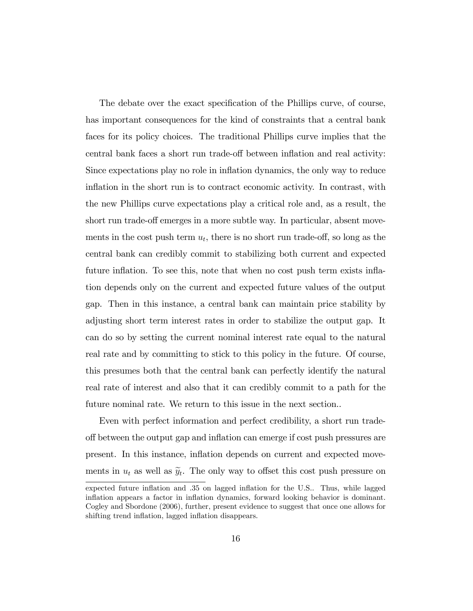The debate over the exact specification of the Phillips curve, of course, has important consequences for the kind of constraints that a central bank faces for its policy choices. The traditional Phillips curve implies that the central bank faces a short run trade-off between inflation and real activity: Since expectations play no role in ináation dynamics, the only way to reduce inflation in the short run is to contract economic activity. In contrast, with the new Phillips curve expectations play a critical role and, as a result, the short run trade-off emerges in a more subtle way. In particular, absent movements in the cost push term  $u_t$ , there is no short run trade-off, so long as the central bank can credibly commit to stabilizing both current and expected future inflation. To see this, note that when no cost push term exists inflation depends only on the current and expected future values of the output gap. Then in this instance, a central bank can maintain price stability by adjusting short term interest rates in order to stabilize the output gap. It can do so by setting the current nominal interest rate equal to the natural real rate and by committing to stick to this policy in the future. Of course, this presumes both that the central bank can perfectly identify the natural real rate of interest and also that it can credibly commit to a path for the future nominal rate. We return to this issue in the next section..

Even with perfect information and perfect credibility, a short run tradeo§ between the output gap and ináation can emerge if cost push pressures are present. In this instance, ináation depends on current and expected movements in  $u_t$  as well as  $\widetilde{y}_t$ . The only way to offset this cost push pressure on

expected future inflation and .35 on lagged inflation for the U.S.. Thus, while lagged inflation appears a factor in inflation dynamics, forward looking behavior is dominant. Cogley and Sbordone (2006), further, present evidence to suggest that once one allows for shifting trend inflation, lagged inflation disappears.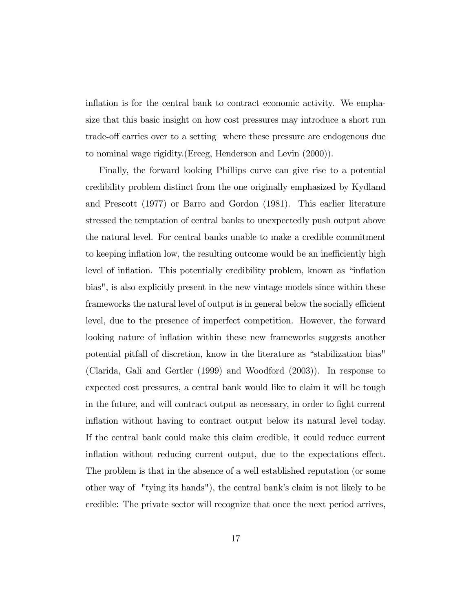inflation is for the central bank to contract economic activity. We emphasize that this basic insight on how cost pressures may introduce a short run trade-off carries over to a setting where these pressure are endogenous due to nominal wage rigidity.(Erceg, Henderson and Levin (2000)).

Finally, the forward looking Phillips curve can give rise to a potential credibility problem distinct from the one originally emphasized by Kydland and Prescott (1977) or Barro and Gordon (1981). This earlier literature stressed the temptation of central banks to unexpectedly push output above the natural level. For central banks unable to make a credible commitment to keeping inflation low, the resulting outcome would be an inefficiently high level of inflation. This potentially credibility problem, known as "inflation" bias", is also explicitly present in the new vintage models since within these frameworks the natural level of output is in general below the socially efficient level, due to the presence of imperfect competition. However, the forward looking nature of inflation within these new frameworks suggests another potential pitfall of discretion, know in the literature as "stabilization bias" (Clarida, Gali and Gertler (1999) and Woodford (2003)). In response to expected cost pressures, a central bank would like to claim it will be tough in the future, and will contract output as necessary, in order to fight current inflation without having to contract output below its natural level today. If the central bank could make this claim credible, it could reduce current inflation without reducing current output, due to the expectations effect. The problem is that in the absence of a well established reputation (or some other way of "tying its hands"), the central bankís claim is not likely to be credible: The private sector will recognize that once the next period arrives,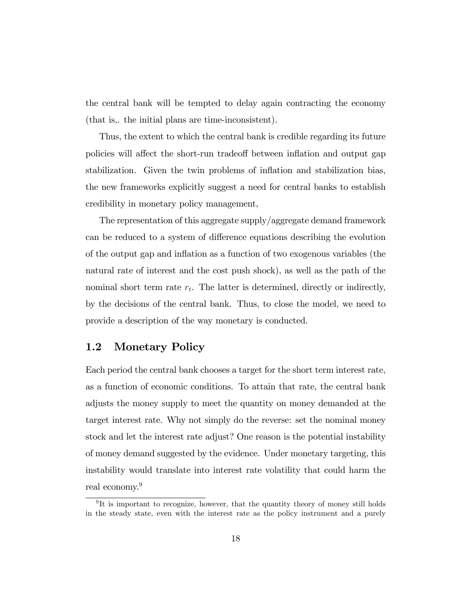the central bank will be tempted to delay again contracting the economy (that is,. the initial plans are time-inconsistent).

Thus, the extent to which the central bank is credible regarding its future policies will affect the short-run tradeoff between inflation and output gap stabilization. Given the twin problems of inflation and stabilization bias, the new frameworks explicitly suggest a need for central banks to establish credibility in monetary policy management,

The representation of this aggregate supply/aggregate demand framework can be reduced to a system of difference equations describing the evolution of the output gap and ináation as a function of two exogenous variables (the natural rate of interest and the cost push shock), as well as the path of the nominal short term rate  $r_t$ . The latter is determined, directly or indirectly, by the decisions of the central bank. Thus, to close the model, we need to provide a description of the way monetary is conducted.

## 1.2 Monetary Policy

Each period the central bank chooses a target for the short term interest rate, as a function of economic conditions. To attain that rate, the central bank adjusts the money supply to meet the quantity on money demanded at the target interest rate. Why not simply do the reverse: set the nominal money stock and let the interest rate adjust? One reason is the potential instability of money demand suggested by the evidence. Under monetary targeting, this instability would translate into interest rate volatility that could harm the real economy.<sup>9</sup>

<sup>&</sup>lt;sup>9</sup>It is important to recognize, however, that the quantity theory of money still holds in the steady state, even with the interest rate as the policy instrument and a purely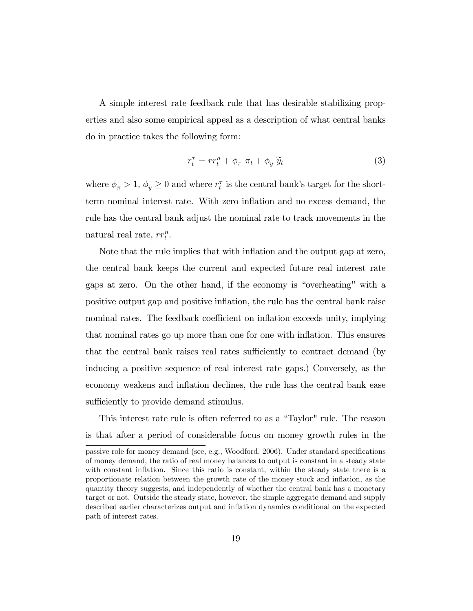A simple interest rate feedback rule that has desirable stabilizing properties and also some empirical appeal as a description of what central banks do in practice takes the following form:

$$
r_t^{\tau} = r r_t^n + \phi_{\pi} \pi_t + \phi_y \tilde{y}_t \tag{3}
$$

where  $\phi_{\pi} > 1$ ,  $\phi_{y} \ge 0$  and where  $r_{t}^{\tau}$  is the central bank's target for the shortterm nominal interest rate. With zero ináation and no excess demand, the rule has the central bank adjust the nominal rate to track movements in the natural real rate,  $rr_t^n$ .

Note that the rule implies that with inflation and the output gap at zero, the central bank keeps the current and expected future real interest rate gaps at zero. On the other hand, if the economy is "overheating" with a positive output gap and positive ináation, the rule has the central bank raise nominal rates. The feedback coefficient on inflation exceeds unity, implying that nominal rates go up more than one for one with ináation. This ensures that the central bank raises real rates sufficiently to contract demand (by inducing a positive sequence of real interest rate gaps.) Conversely, as the economy weakens and inflation declines, the rule has the central bank ease sufficiently to provide demand stimulus.

This interest rate rule is often referred to as a "Taylor" rule. The reason is that after a period of considerable focus on money growth rules in the

passive role for money demand (see, e.g., Woodford, 2006). Under standard specifications of money demand, the ratio of real money balances to output is constant in a steady state with constant inflation. Since this ratio is constant, within the steady state there is a proportionate relation between the growth rate of the money stock and ináation, as the quantity theory suggests, and independently of whether the central bank has a monetary target or not. Outside the steady state, however, the simple aggregate demand and supply described earlier characterizes output and ináation dynamics conditional on the expected path of interest rates.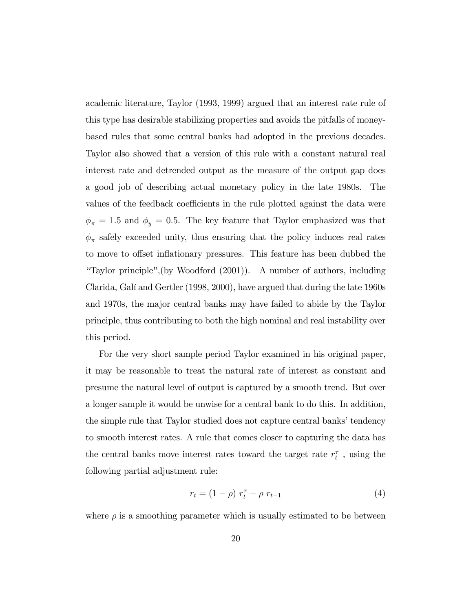academic literature, Taylor (1993, 1999) argued that an interest rate rule of this type has desirable stabilizing properties and avoids the pitfalls of moneybased rules that some central banks had adopted in the previous decades. Taylor also showed that a version of this rule with a constant natural real interest rate and detrended output as the measure of the output gap does a good job of describing actual monetary policy in the late 1980s. The values of the feedback coefficients in the rule plotted against the data were  $\phi_{\pi} = 1.5$  and  $\phi_{y} = 0.5$ . The key feature that Taylor emphasized was that  $\phi_{\pi}$  safely exceeded unity, thus ensuring that the policy induces real rates to move to offset inflationary pressures. This feature has been dubbed the ìTaylor principle",(by Woodford (2001)). A number of authors, including Clarida, Galí and Gertler (1998, 2000), have argued that during the late 1960s and 1970s, the major central banks may have failed to abide by the Taylor principle, thus contributing to both the high nominal and real instability over this period.

For the very short sample period Taylor examined in his original paper, it may be reasonable to treat the natural rate of interest as constant and presume the natural level of output is captured by a smooth trend. But over a longer sample it would be unwise for a central bank to do this. In addition, the simple rule that Taylor studied does not capture central banks' tendency to smooth interest rates. A rule that comes closer to capturing the data has the central banks move interest rates toward the target rate  $r_{t}^{\tau}$  , using the following partial adjustment rule:

$$
r_t = (1 - \rho) r_t^{\tau} + \rho r_{t-1}
$$
 (4)

where  $\rho$  is a smoothing parameter which is usually estimated to be between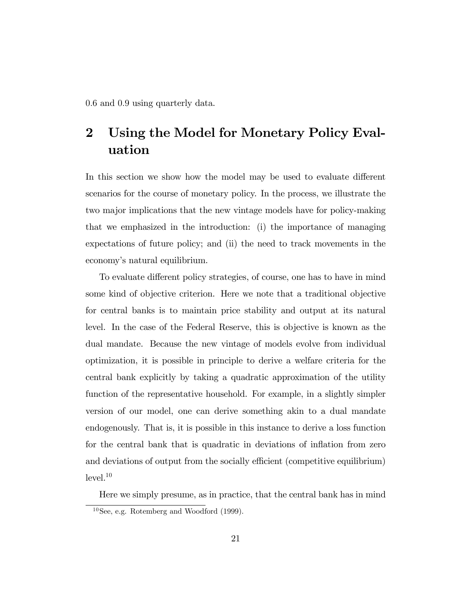0:6 and 0:9 using quarterly data.

# 2 Using the Model for Monetary Policy Evaluation

In this section we show how the model may be used to evaluate different scenarios for the course of monetary policy. In the process, we illustrate the two major implications that the new vintage models have for policy-making that we emphasized in the introduction: (i) the importance of managing expectations of future policy; and (ii) the need to track movements in the economy's natural equilibrium.

To evaluate different policy strategies, of course, one has to have in mind some kind of objective criterion. Here we note that a traditional objective for central banks is to maintain price stability and output at its natural level. In the case of the Federal Reserve, this is objective is known as the dual mandate. Because the new vintage of models evolve from individual optimization, it is possible in principle to derive a welfare criteria for the central bank explicitly by taking a quadratic approximation of the utility function of the representative household. For example, in a slightly simpler version of our model, one can derive something akin to a dual mandate endogenously. That is, it is possible in this instance to derive a loss function for the central bank that is quadratic in deviations of inflation from zero and deviations of output from the socially efficient (competitive equilibrium)  $level.<sup>10</sup>$ 

Here we simply presume, as in practice, that the central bank has in mind  $10$ See, e.g. Rotemberg and Woodford (1999).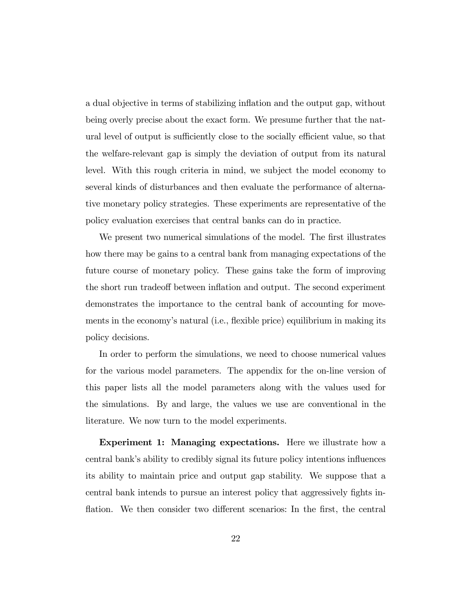a dual objective in terms of stabilizing ináation and the output gap, without being overly precise about the exact form. We presume further that the natural level of output is sufficiently close to the socially efficient value, so that the welfare-relevant gap is simply the deviation of output from its natural level. With this rough criteria in mind, we subject the model economy to several kinds of disturbances and then evaluate the performance of alternative monetary policy strategies. These experiments are representative of the policy evaluation exercises that central banks can do in practice.

We present two numerical simulations of the model. The first illustrates how there may be gains to a central bank from managing expectations of the future course of monetary policy. These gains take the form of improving the short run tradeoff between inflation and output. The second experiment demonstrates the importance to the central bank of accounting for movements in the economy's natural (i.e., flexible price) equilibrium in making its policy decisions.

In order to perform the simulations, we need to choose numerical values for the various model parameters. The appendix for the on-line version of this paper lists all the model parameters along with the values used for the simulations. By and large, the values we use are conventional in the literature. We now turn to the model experiments.

Experiment 1: Managing expectations. Here we illustrate how a central bank's ability to credibly signal its future policy intentions influences its ability to maintain price and output gap stability. We suppose that a central bank intends to pursue an interest policy that aggressively fights inflation. We then consider two different scenarios: In the first, the central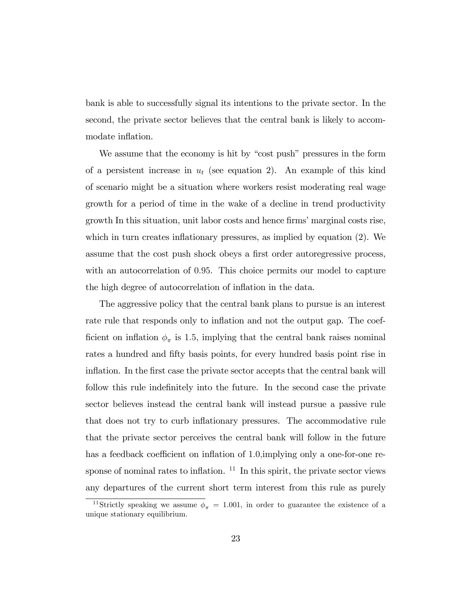bank is able to successfully signal its intentions to the private sector. In the second, the private sector believes that the central bank is likely to accommodate inflation.

We assume that the economy is hit by "cost push" pressures in the form of a persistent increase in  $u_t$  (see equation 2). An example of this kind of scenario might be a situation where workers resist moderating real wage growth for a period of time in the wake of a decline in trend productivity growth In this situation, unit labor costs and hence firms' marginal costs rise, which in turn creates inflationary pressures, as implied by equation  $(2)$ . We assume that the cost push shock obeys a first order autoregressive process, with an autocorrelation of 0:95. This choice permits our model to capture the high degree of autocorrelation of inflation in the data.

The aggressive policy that the central bank plans to pursue is an interest rate rule that responds only to inflation and not the output gap. The coefficient on inflation  $\phi_{\pi}$  is 1.5, implying that the central bank raises nominal rates a hundred and fifty basis points, for every hundred basis point rise in inflation. In the first case the private sector accepts that the central bank will follow this rule indefinitely into the future. In the second case the private sector believes instead the central bank will instead pursue a passive rule that does not try to curb ináationary pressures. The accommodative rule that the private sector perceives the central bank will follow in the future has a feedback coefficient on inflation of 1.0, implying only a one-for-one response of nominal rates to inflation.  $11$  In this spirit, the private sector views any departures of the current short term interest from this rule as purely

<sup>&</sup>lt;sup>11</sup>Strictly speaking we assume  $\phi_{\pi} = 1.001$ , in order to guarantee the existence of a unique stationary equilibrium.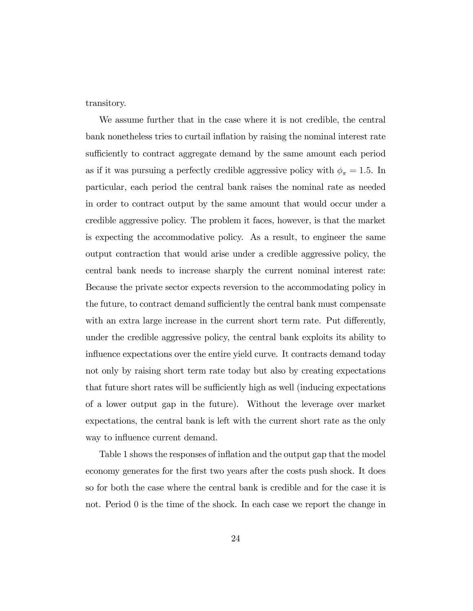transitory.

We assume further that in the case where it is not credible, the central bank nonetheless tries to curtail inflation by raising the nominal interest rate sufficiently to contract aggregate demand by the same amount each period as if it was pursuing a perfectly credible aggressive policy with  $\phi_{\pi} = 1.5$ . In particular, each period the central bank raises the nominal rate as needed in order to contract output by the same amount that would occur under a credible aggressive policy. The problem it faces, however, is that the market is expecting the accommodative policy. As a result, to engineer the same output contraction that would arise under a credible aggressive policy, the central bank needs to increase sharply the current nominal interest rate: Because the private sector expects reversion to the accommodating policy in the future, to contract demand sufficiently the central bank must compensate with an extra large increase in the current short term rate. Put differently, under the credible aggressive policy, the central bank exploits its ability to influence expectations over the entire yield curve. It contracts demand today not only by raising short term rate today but also by creating expectations that future short rates will be sufficiently high as well (inducing expectations of a lower output gap in the future). Without the leverage over market expectations, the central bank is left with the current short rate as the only way to influence current demand.

Table 1 shows the responses of inflation and the output gap that the model economy generates for the first two years after the costs push shock. It does so for both the case where the central bank is credible and for the case it is not. Period 0 is the time of the shock. In each case we report the change in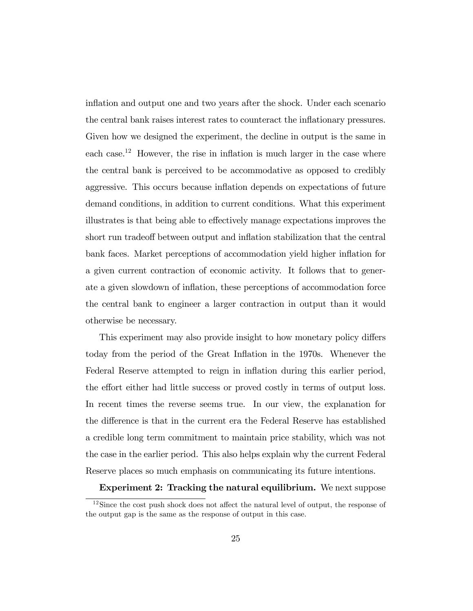inflation and output one and two years after the shock. Under each scenario the central bank raises interest rates to counteract the inflationary pressures. Given how we designed the experiment, the decline in output is the same in each case.<sup>12</sup> However, the rise in inflation is much larger in the case where the central bank is perceived to be accommodative as opposed to credibly aggressive. This occurs because ináation depends on expectations of future demand conditions, in addition to current conditions. What this experiment illustrates is that being able to effectively manage expectations improves the short run tradeoff between output and inflation stabilization that the central bank faces. Market perceptions of accommodation yield higher inflation for a given current contraction of economic activity. It follows that to generate a given slowdown of inflation, these perceptions of accommodation force the central bank to engineer a larger contraction in output than it would otherwise be necessary.

This experiment may also provide insight to how monetary policy differs today from the period of the Great Ináation in the 1970s. Whenever the Federal Reserve attempted to reign in inflation during this earlier period, the effort either had little success or proved costly in terms of output loss. In recent times the reverse seems true. In our view, the explanation for the difference is that in the current era the Federal Reserve has established a credible long term commitment to maintain price stability, which was not the case in the earlier period. This also helps explain why the current Federal Reserve places so much emphasis on communicating its future intentions.

### Experiment 2: Tracking the natural equilibrium. We next suppose

 $12$ Since the cost push shock does not affect the natural level of output, the response of the output gap is the same as the response of output in this case.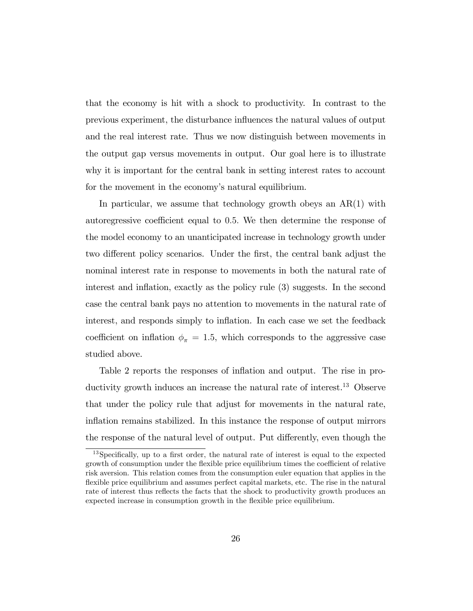that the economy is hit with a shock to productivity. In contrast to the previous experiment, the disturbance ináuences the natural values of output and the real interest rate. Thus we now distinguish between movements in the output gap versus movements in output. Our goal here is to illustrate why it is important for the central bank in setting interest rates to account for the movement in the economy's natural equilibrium.

In particular, we assume that technology growth obeys an  $AR(1)$  with autoregressive coefficient equal to 0.5. We then determine the response of the model economy to an unanticipated increase in technology growth under two different policy scenarios. Under the first, the central bank adjust the nominal interest rate in response to movements in both the natural rate of interest and inflation, exactly as the policy rule  $(3)$  suggests. In the second case the central bank pays no attention to movements in the natural rate of interest, and responds simply to inflation. In each case we set the feedback coefficient on inflation  $\phi_{\pi} = 1.5$ , which corresponds to the aggressive case studied above.

Table 2 reports the responses of inflation and output. The rise in productivity growth induces an increase the natural rate of interest.<sup>13</sup> Observe that under the policy rule that adjust for movements in the natural rate, inflation remains stabilized. In this instance the response of output mirrors the response of the natural level of output. Put differently, even though the

 $13$ Specifically, up to a first order, the natural rate of interest is equal to the expected growth of consumption under the flexible price equilibrium times the coefficient of relative risk aversion. This relation comes from the consumption euler equation that applies in the flexible price equilibrium and assumes perfect capital markets, etc. The rise in the natural rate of interest thus reflects the facts that the shock to productivity growth produces an expected increase in consumption growth in the flexible price equilibrium.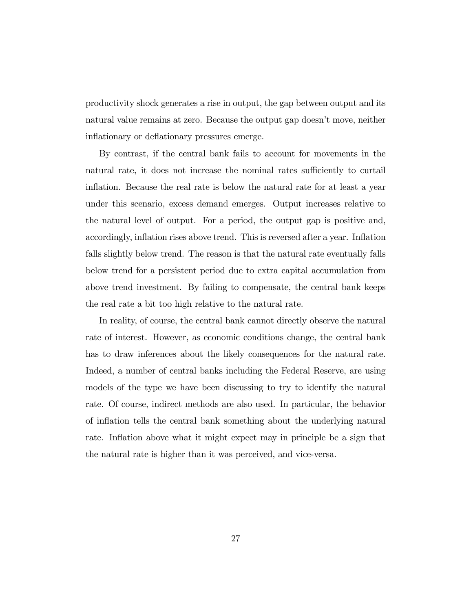productivity shock generates a rise in output, the gap between output and its natural value remains at zero. Because the output gap doesn't move, neither inflationary or deflationary pressures emerge.

By contrast, if the central bank fails to account for movements in the natural rate, it does not increase the nominal rates sufficiently to curtail inflation. Because the real rate is below the natural rate for at least a year under this scenario, excess demand emerges. Output increases relative to the natural level of output. For a period, the output gap is positive and, accordingly, inflation rises above trend. This is reversed after a year. Inflation falls slightly below trend. The reason is that the natural rate eventually falls below trend for a persistent period due to extra capital accumulation from above trend investment. By failing to compensate, the central bank keeps the real rate a bit too high relative to the natural rate.

In reality, of course, the central bank cannot directly observe the natural rate of interest. However, as economic conditions change, the central bank has to draw inferences about the likely consequences for the natural rate. Indeed, a number of central banks including the Federal Reserve, are using models of the type we have been discussing to try to identify the natural rate. Of course, indirect methods are also used. In particular, the behavior of ináation tells the central bank something about the underlying natural rate. Inflation above what it might expect may in principle be a sign that the natural rate is higher than it was perceived, and vice-versa.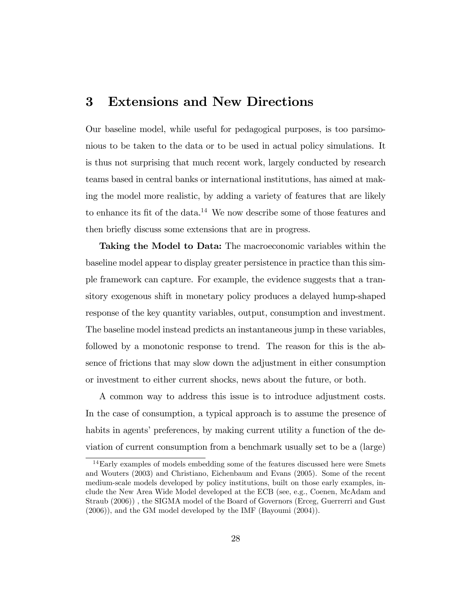# 3 Extensions and New Directions

Our baseline model, while useful for pedagogical purposes, is too parsimonious to be taken to the data or to be used in actual policy simulations. It is thus not surprising that much recent work, largely conducted by research teams based in central banks or international institutions, has aimed at making the model more realistic, by adding a variety of features that are likely to enhance its fit of the data.<sup>14</sup> We now describe some of those features and then briefly discuss some extensions that are in progress.

Taking the Model to Data: The macroeconomic variables within the baseline model appear to display greater persistence in practice than this simple framework can capture. For example, the evidence suggests that a transitory exogenous shift in monetary policy produces a delayed hump-shaped response of the key quantity variables, output, consumption and investment. The baseline model instead predicts an instantaneous jump in these variables, followed by a monotonic response to trend. The reason for this is the absence of frictions that may slow down the adjustment in either consumption or investment to either current shocks, news about the future, or both.

A common way to address this issue is to introduce adjustment costs. In the case of consumption, a typical approach is to assume the presence of habits in agents' preferences, by making current utility a function of the deviation of current consumption from a benchmark usually set to be a (large)

<sup>&</sup>lt;sup>14</sup>Early examples of models embedding some of the features discussed here were Smets and Wouters (2003) and Christiano, Eichenbaum and Evans (2005). Some of the recent medium-scale models developed by policy institutions, built on those early examples, include the New Area Wide Model developed at the ECB (see, e.g., Coenen, McAdam and Straub (2006)) , the SIGMA model of the Board of Governors (Erceg, Guerrerri and Gust (2006)), and the GM model developed by the IMF (Bayoumi (2004)).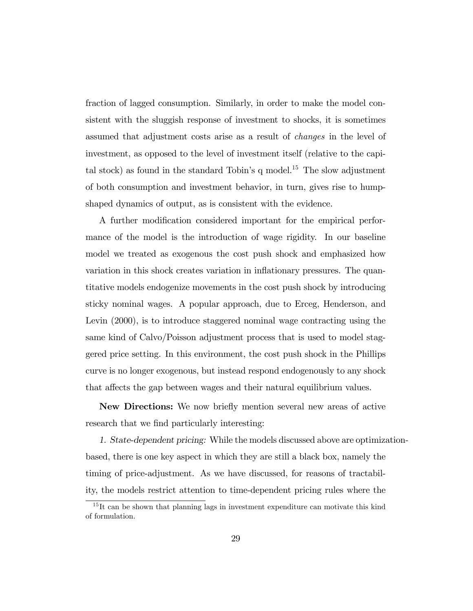fraction of lagged consumption. Similarly, in order to make the model consistent with the sluggish response of investment to shocks, it is sometimes assumed that adjustment costs arise as a result of changes in the level of investment, as opposed to the level of investment itself (relative to the capital stock) as found in the standard Tobin's q model.<sup>15</sup> The slow adjustment of both consumption and investment behavior, in turn, gives rise to humpshaped dynamics of output, as is consistent with the evidence.

A further modification considered important for the empirical performance of the model is the introduction of wage rigidity. In our baseline model we treated as exogenous the cost push shock and emphasized how variation in this shock creates variation in inflationary pressures. The quantitative models endogenize movements in the cost push shock by introducing sticky nominal wages. A popular approach, due to Erceg, Henderson, and Levin  $(2000)$ , is to introduce staggered nominal wage contracting using the same kind of Calvo/Poisson adjustment process that is used to model staggered price setting. In this environment, the cost push shock in the Phillips curve is no longer exogenous, but instead respond endogenously to any shock that affects the gap between wages and their natural equilibrium values.

New Directions: We now briefly mention several new areas of active research that we find particularly interesting:

1. State-dependent pricing: While the models discussed above are optimizationbased, there is one key aspect in which they are still a black box, namely the timing of price-adjustment. As we have discussed, for reasons of tractability, the models restrict attention to time-dependent pricing rules where the

<sup>&</sup>lt;sup>15</sup>It can be shown that planning lags in investment expenditure can motivate this kind of formulation.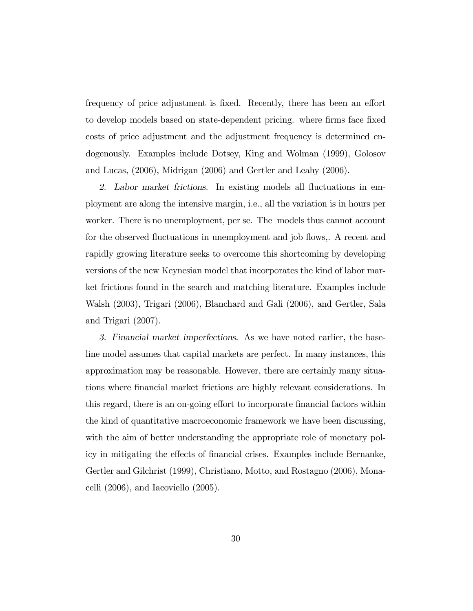frequency of price adjustment is fixed. Recently, there has been an effort to develop models based on state-dependent pricing. where firms face fixed costs of price adjustment and the adjustment frequency is determined endogenously. Examples include Dotsey, King and Wolman (1999), Golosov and Lucas, (2006), Midrigan (2006) and Gertler and Leahy (2006).

2. Labor market frictions. In existing models all fluctuations in employment are along the intensive margin, i.e., all the variation is in hours per worker. There is no unemployment, per se. The models thus cannot account for the observed fluctuations in unemployment and job flows,. A recent and rapidly growing literature seeks to overcome this shortcoming by developing versions of the new Keynesian model that incorporates the kind of labor market frictions found in the search and matching literature. Examples include Walsh (2003), Trigari (2006), Blanchard and Gali (2006), and Gertler, Sala and Trigari (2007).

3. Financial market imperfections. As we have noted earlier, the baseline model assumes that capital markets are perfect. In many instances, this approximation may be reasonable. However, there are certainly many situations where Önancial market frictions are highly relevant considerations. In this regard, there is an on-going effort to incorporate financial factors within the kind of quantitative macroeconomic framework we have been discussing, with the aim of better understanding the appropriate role of monetary policy in mitigating the effects of financial crises. Examples include Bernanke, Gertler and Gilchrist (1999), Christiano, Motto, and Rostagno (2006), Monacelli (2006), and Iacoviello (2005).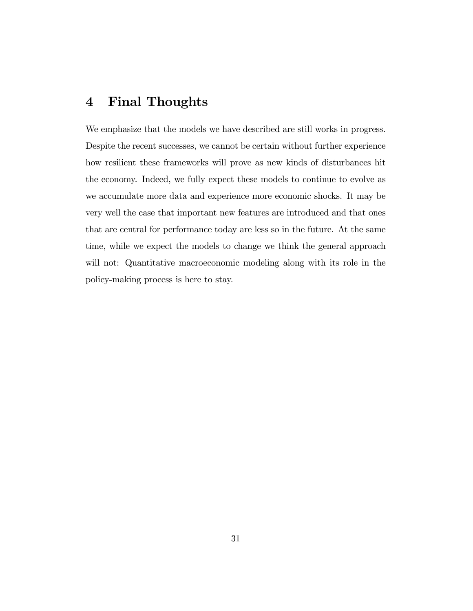# 4 Final Thoughts

We emphasize that the models we have described are still works in progress. Despite the recent successes, we cannot be certain without further experience how resilient these frameworks will prove as new kinds of disturbances hit the economy. Indeed, we fully expect these models to continue to evolve as we accumulate more data and experience more economic shocks. It may be very well the case that important new features are introduced and that ones that are central for performance today are less so in the future. At the same time, while we expect the models to change we think the general approach will not: Quantitative macroeconomic modeling along with its role in the policy-making process is here to stay.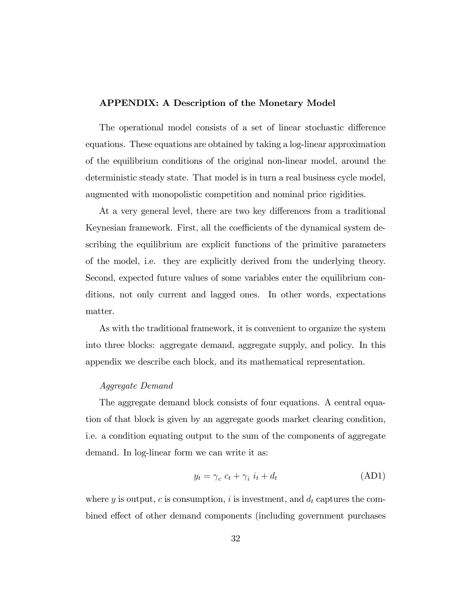#### APPENDIX: A Description of the Monetary Model

The operational model consists of a set of linear stochastic difference equations. These equations are obtained by taking a log-linear approximation of the equilibrium conditions of the original non-linear model, around the deterministic steady state. That model is in turn a real business cycle model, augmented with monopolistic competition and nominal price rigidities.

At a very general level, there are two key differences from a traditional Keynesian framework. First, all the coefficients of the dynamical system describing the equilibrium are explicit functions of the primitive parameters of the model, i.e. they are explicitly derived from the underlying theory. Second, expected future values of some variables enter the equilibrium conditions, not only current and lagged ones. In other words, expectations matter.

As with the traditional framework, it is convenient to organize the system into three blocks: aggregate demand, aggregate supply, and policy. In this appendix we describe each block, and its mathematical representation.

#### Aggregate Demand

The aggregate demand block consists of four equations. A central equation of that block is given by an aggregate goods market clearing condition, i.e. a condition equating output to the sum of the components of aggregate demand. In log-linear form we can write it as:

$$
y_t = \gamma_c \ c_t + \gamma_i \ i_t + d_t \tag{AD1}
$$

where y is output, c is consumption, i is investment, and  $d_t$  captures the combined effect of other demand components (including government purchases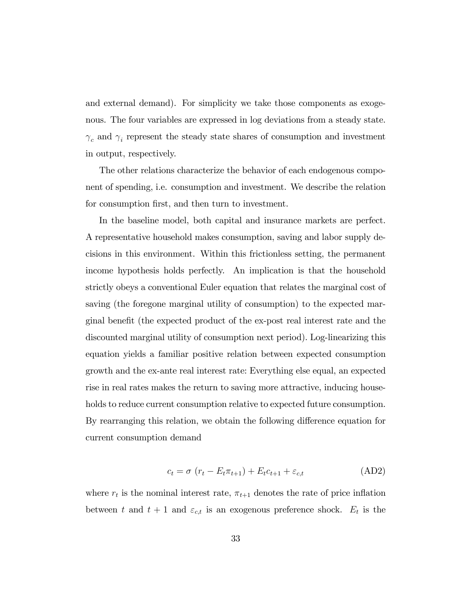and external demand). For simplicity we take those components as exogenous. The four variables are expressed in log deviations from a steady state.  $\gamma_c$  and  $\gamma_i$  represent the steady state shares of consumption and investment in output, respectively.

The other relations characterize the behavior of each endogenous component of spending, i.e. consumption and investment. We describe the relation for consumption first, and then turn to investment.

In the baseline model, both capital and insurance markets are perfect. A representative household makes consumption, saving and labor supply decisions in this environment. Within this frictionless setting, the permanent income hypothesis holds perfectly. An implication is that the household strictly obeys a conventional Euler equation that relates the marginal cost of saving (the foregone marginal utility of consumption) to the expected marginal benefit (the expected product of the ex-post real interest rate and the discounted marginal utility of consumption next period). Log-linearizing this equation yields a familiar positive relation between expected consumption growth and the ex-ante real interest rate: Everything else equal, an expected rise in real rates makes the return to saving more attractive, inducing households to reduce current consumption relative to expected future consumption. By rearranging this relation, we obtain the following difference equation for current consumption demand

$$
c_t = \sigma \left( r_t - E_t \pi_{t+1} \right) + E_t c_{t+1} + \varepsilon_{c,t} \tag{AD2}
$$

where  $r_t$  is the nominal interest rate,  $\pi_{t+1}$  denotes the rate of price inflation between t and  $t + 1$  and  $\varepsilon_{c,t}$  is an exogenous preference shock.  $E_t$  is the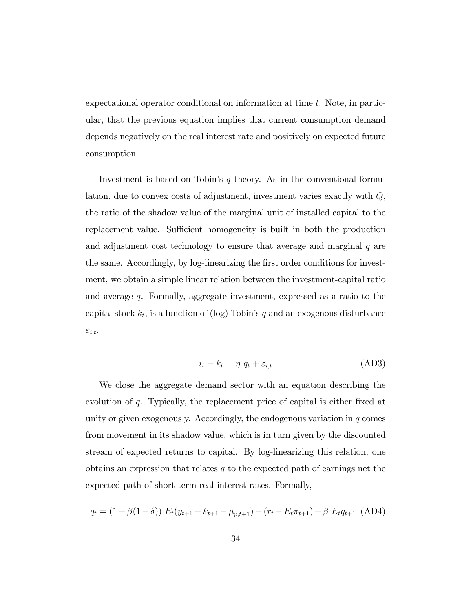expectational operator conditional on information at time t. Note, in particular, that the previous equation implies that current consumption demand depends negatively on the real interest rate and positively on expected future consumption.

Investment is based on Tobin's  $q$  theory. As in the conventional formulation, due to convex costs of adjustment, investment varies exactly with Q, the ratio of the shadow value of the marginal unit of installed capital to the replacement value. Sufficient homogeneity is built in both the production and adjustment cost technology to ensure that average and marginal  $q$  are the same. Accordingly, by log-linearizing the first order conditions for investment, we obtain a simple linear relation between the investment-capital ratio and average q. Formally, aggregate investment, expressed as a ratio to the capital stock  $k_t$ , is a function of (log) Tobin's q and an exogenous disturbance  $\varepsilon_{i,t}.$ 

$$
i_t - k_t = \eta \, q_t + \varepsilon_{i,t} \tag{AD3}
$$

We close the aggregate demand sector with an equation describing the evolution of  $q$ . Typically, the replacement price of capital is either fixed at unity or given exogenously. Accordingly, the endogenous variation in  $q$  comes from movement in its shadow value, which is in turn given by the discounted stream of expected returns to capital. By log-linearizing this relation, one obtains an expression that relates  $q$  to the expected path of earnings net the expected path of short term real interest rates. Formally,

$$
q_{t} = (1 - \beta(1 - \delta)) E_{t}(y_{t+1} - k_{t+1} - \mu_{p,t+1}) - (r_{t} - E_{t}\pi_{t+1}) + \beta E_{t}q_{t+1} \text{ (AD4)}
$$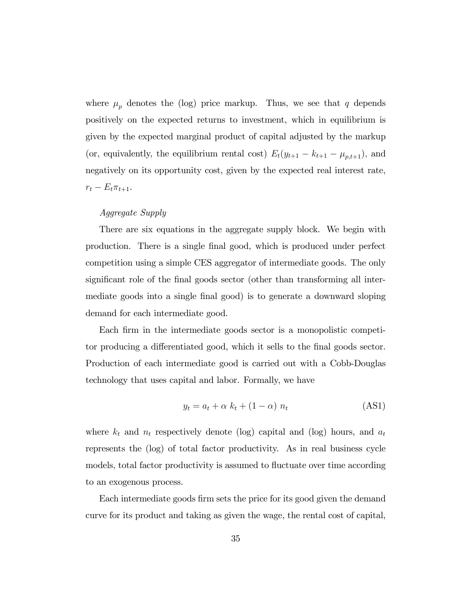where  $\mu_p$  denotes the (log) price markup. Thus, we see that q depends positively on the expected returns to investment, which in equilibrium is given by the expected marginal product of capital adjusted by the markup (or, equivalently, the equilibrium rental cost)  $E_t(y_{t+1} - k_{t+1} - \mu_{p,t+1}),$  and negatively on its opportunity cost, given by the expected real interest rate,  $r_t - E_t \pi_{t+1}.$ 

### Aggregate Supply

There are six equations in the aggregate supply block. We begin with production. There is a single Önal good, which is produced under perfect competition using a simple CES aggregator of intermediate goods. The only significant role of the final goods sector (other than transforming all intermediate goods into a single final good) is to generate a downward sloping demand for each intermediate good.

Each firm in the intermediate goods sector is a monopolistic competitor producing a differentiated good, which it sells to the final goods sector. Production of each intermediate good is carried out with a Cobb-Douglas technology that uses capital and labor. Formally, we have

$$
y_t = a_t + \alpha \ k_t + (1 - \alpha) \ n_t \tag{AS1}
$$

where  $k_t$  and  $n_t$  respectively denote (log) capital and (log) hours, and  $a_t$ represents the (log) of total factor productivity. As in real business cycle models, total factor productivity is assumed to fluctuate over time according to an exogenous process.

Each intermediate goods firm sets the price for its good given the demand curve for its product and taking as given the wage, the rental cost of capital,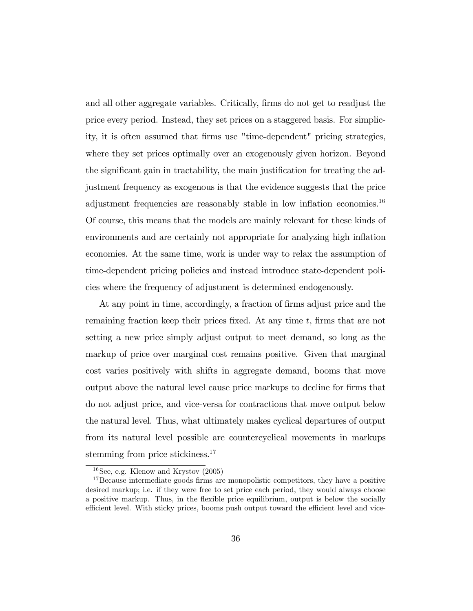and all other aggregate variables. Critically, firms do not get to readjust the price every period. Instead, they set prices on a staggered basis. For simplicity, it is often assumed that Örms use "time-dependent" pricing strategies, where they set prices optimally over an exogenously given horizon. Beyond the significant gain in tractability, the main justification for treating the adjustment frequency as exogenous is that the evidence suggests that the price adjustment frequencies are reasonably stable in low inflation economies.<sup>16</sup> Of course, this means that the models are mainly relevant for these kinds of environments and are certainly not appropriate for analyzing high inflation economies. At the same time, work is under way to relax the assumption of time-dependent pricing policies and instead introduce state-dependent policies where the frequency of adjustment is determined endogenously.

At any point in time, accordingly, a fraction of firms adjust price and the remaining fraction keep their prices fixed. At any time  $t$ , firms that are not setting a new price simply adjust output to meet demand, so long as the markup of price over marginal cost remains positive. Given that marginal cost varies positively with shifts in aggregate demand, booms that move output above the natural level cause price markups to decline for Örms that do not adjust price, and vice-versa for contractions that move output below the natural level. Thus, what ultimately makes cyclical departures of output from its natural level possible are countercyclical movements in markups stemming from price stickiness.<sup>17</sup>

 $16$ See, e.g. Klenow and Krystov  $(2005)$ 

 $17$ Because intermediate goods firms are monopolistic competitors, they have a positive desired markup; i.e. if they were free to set price each period, they would always choose a positive markup. Thus, in the áexible price equilibrium, output is below the socially efficient level. With sticky prices, booms push output toward the efficient level and vice-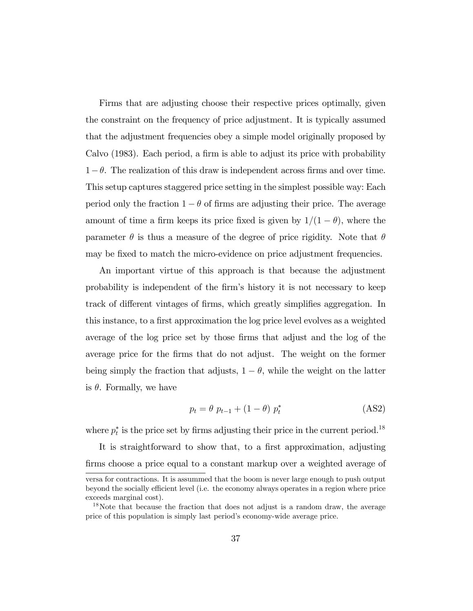Firms that are adjusting choose their respective prices optimally, given the constraint on the frequency of price adjustment. It is typically assumed that the adjustment frequencies obey a simple model originally proposed by Calvo  $(1983)$ . Each period, a firm is able to adjust its price with probability  $1-\theta$ . The realization of this draw is independent across firms and over time. This setup captures staggered price setting in the simplest possible way: Each period only the fraction  $1 - \theta$  of firms are adjusting their price. The average amount of time a firm keeps its price fixed is given by  $1/(1 - \theta)$ , where the parameter  $\theta$  is thus a measure of the degree of price rigidity. Note that  $\theta$ may be fixed to match the micro-evidence on price adjustment frequencies.

An important virtue of this approach is that because the adjustment probability is independent of the Örmís history it is not necessary to keep track of different vintages of firms, which greatly simplifies aggregation. In this instance, to a first approximation the log price level evolves as a weighted average of the log price set by those firms that adjust and the log of the average price for the Örms that do not adjust. The weight on the former being simply the fraction that adjusts,  $1 - \theta$ , while the weight on the latter is  $\theta$ . Formally, we have

$$
p_t = \theta \ p_{t-1} + (1 - \theta) \ p_t^* \tag{AS2}
$$

where  $p_t^*$  is the price set by firms adjusting their price in the current period.<sup>18</sup>

It is straightforward to show that, to a first approximation, adjusting firms choose a price equal to a constant markup over a weighted average of

versa for contractions. It is assummed that the boom is never large enough to push output beyond the socially efficient level (i.e. the economy always operates in a region where price exceeds marginal cost).

<sup>&</sup>lt;sup>18</sup>Note that because the fraction that does not adjust is a random draw, the average price of this population is simply last period's economy-wide average price.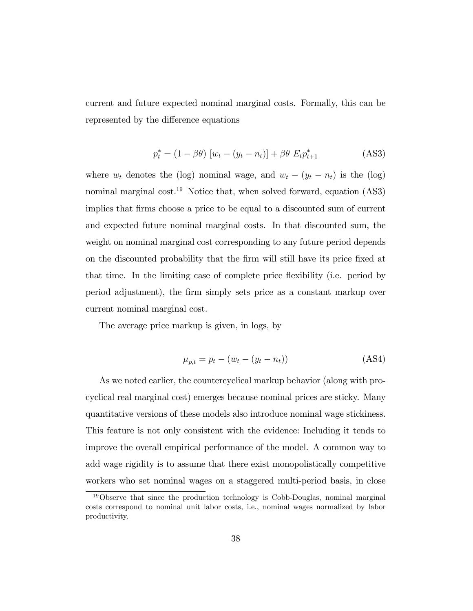current and future expected nominal marginal costs. Formally, this can be represented by the difference equations

$$
p_t^* = (1 - \beta \theta) \left[ w_t - (y_t - n_t) \right] + \beta \theta \ E_t p_{t+1}^* \tag{AS3}
$$

where  $w_t$  denotes the (log) nominal wage, and  $w_t - (y_t - n_t)$  is the (log) nominal marginal cost.<sup>19</sup> Notice that, when solved forward, equation  $(AS3)$ implies that Örms choose a price to be equal to a discounted sum of current and expected future nominal marginal costs. In that discounted sum, the weight on nominal marginal cost corresponding to any future period depends on the discounted probability that the Örm will still have its price Öxed at that time. In the limiting case of complete price flexibility (i.e. period by period adjustment), the Örm simply sets price as a constant markup over current nominal marginal cost.

The average price markup is given, in logs, by

$$
\mu_{p,t} = p_t - (w_t - (y_t - n_t))
$$
\n(AS4)

As we noted earlier, the countercyclical markup behavior (along with procyclical real marginal cost) emerges because nominal prices are sticky. Many quantitative versions of these models also introduce nominal wage stickiness. This feature is not only consistent with the evidence: Including it tends to improve the overall empirical performance of the model. A common way to add wage rigidity is to assume that there exist monopolistically competitive workers who set nominal wages on a staggered multi-period basis, in close

<sup>&</sup>lt;sup>19</sup>Observe that since the production technology is Cobb-Douglas, nominal marginal costs correspond to nominal unit labor costs, i.e., nominal wages normalized by labor productivity.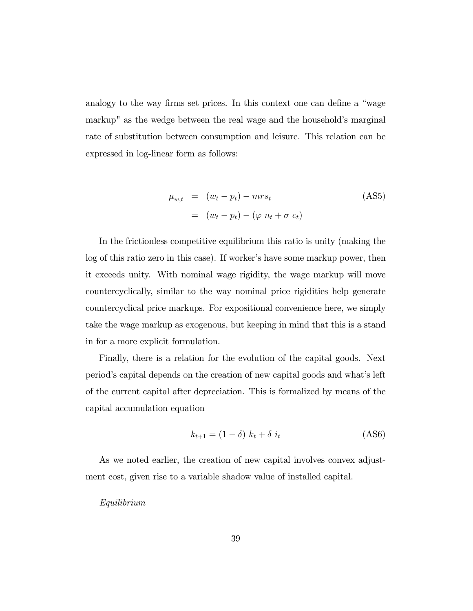analogy to the way firms set prices. In this context one can define a "wage" markup" as the wedge between the real wage and the household's marginal rate of substitution between consumption and leisure. This relation can be expressed in log-linear form as follows:

$$
\mu_{w,t} = (w_t - p_t) - mrs_t
$$
\n
$$
= (w_t - p_t) - (\varphi n_t + \sigma c_t)
$$
\n(AS5)

In the frictionless competitive equilibrium this ratio is unity (making the log of this ratio zero in this case). If worker's have some markup power, then it exceeds unity. With nominal wage rigidity, the wage markup will move countercyclically, similar to the way nominal price rigidities help generate countercyclical price markups. For expositional convenience here, we simply take the wage markup as exogenous, but keeping in mind that this is a stand in for a more explicit formulation.

Finally, there is a relation for the evolution of the capital goods. Next periodís capital depends on the creation of new capital goods and whatís left of the current capital after depreciation. This is formalized by means of the capital accumulation equation

$$
k_{t+1} = (1 - \delta) k_t + \delta i_t \tag{AS6}
$$

As we noted earlier, the creation of new capital involves convex adjustment cost, given rise to a variable shadow value of installed capital.

#### Equilibrium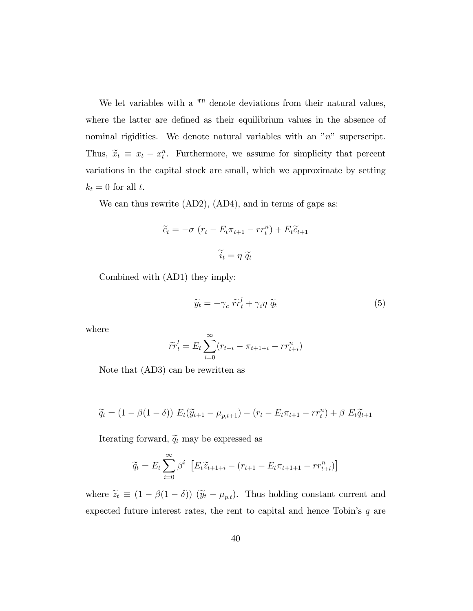We let variables with a  $\mathsf{I}^{\mathsf{m}}$  denote deviations from their natural values, where the latter are defined as their equilibrium values in the absence of nominal rigidities. We denote natural variables with an "n" superscript. Thus,  $\tilde{x}_t \equiv x_t - x_t^n$ . Furthermore, we assume for simplicity that percent variations in the capital stock are small, which we approximate by setting  $k_t = 0$  for all t.

We can thus rewrite (AD2), (AD4), and in terms of gaps as:

$$
\widetilde{c}_t = -\sigma \left( r_t - E_t \pi_{t+1} - r r_t^n \right) + E_t \widetilde{c}_{t+1}
$$

$$
\widetilde{i}_t = \eta \ \widetilde{q}_t
$$

Combined with (AD1) they imply:

$$
\widetilde{y}_t = -\gamma_c \; \widetilde{rr}_t^l + \gamma_i \eta \; \widetilde{q}_t \tag{5}
$$

where

$$
\widetilde{rr}_{t}^{l} = E_{t} \sum_{i=0}^{\infty} (r_{t+i} - \pi_{t+1+i} - rr_{t+i}^{n})
$$

Note that (AD3) can be rewritten as

$$
\widetilde{q}_t = (1 - \beta(1 - \delta)) E_t(\widetilde{y}_{t+1} - \mu_{p,t+1}) - (r_t - E_t \pi_{t+1} - r r_t^n) + \beta E_t \widetilde{q}_{t+1}
$$

Iterating forward,  $\tilde{q}_t$  may be expressed as

$$
\widetilde{q}_t = E_t \sum_{i=0}^{\infty} \beta^i \left[ E_t \widetilde{z}_{t+1+i} - (r_{t+1} - E_t \pi_{t+1+1} - r r_{t+i}^n) \right]
$$

where  $\tilde{z}_t \equiv (1 - \beta(1 - \delta)) (\tilde{y}_t - \mu_{p,t})$ . Thus holding constant current and expected future interest rates, the rent to capital and hence Tobin's  $q$  are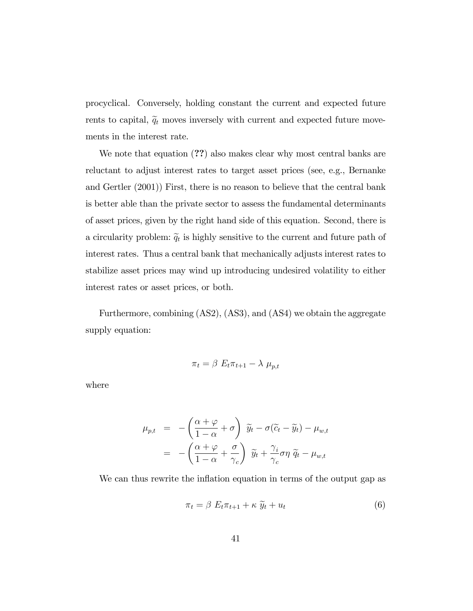procyclical. Conversely, holding constant the current and expected future rents to capital,  $\tilde{q}_t$  moves inversely with current and expected future movements in the interest rate.

We note that equation  $(?)$  also makes clear why most central banks are reluctant to adjust interest rates to target asset prices (see, e.g., Bernanke and Gertler (2001)) First, there is no reason to believe that the central bank is better able than the private sector to assess the fundamental determinants of asset prices, given by the right hand side of this equation. Second, there is a circularity problem:  $\tilde{q}_t$  is highly sensitive to the current and future path of interest rates. Thus a central bank that mechanically adjusts interest rates to stabilize asset prices may wind up introducing undesired volatility to either interest rates or asset prices, or both.

Furthermore, combining (AS2), (AS3), and (AS4) we obtain the aggregate supply equation:

$$
\pi_t = \beta \ E_t \pi_{t+1} - \lambda \ \mu_{p,t}
$$

where

$$
\mu_{p,t} = -\left(\frac{\alpha + \varphi}{1 - \alpha} + \sigma\right) \widetilde{y}_t - \sigma(\widetilde{c}_t - \widetilde{y}_t) - \mu_{w,t}
$$

$$
= -\left(\frac{\alpha + \varphi}{1 - \alpha} + \frac{\sigma}{\gamma_c}\right) \widetilde{y}_t + \frac{\gamma_i}{\gamma_c} \sigma \eta \widetilde{q}_t - \mu_{w,t}
$$

We can thus rewrite the inflation equation in terms of the output gap as

$$
\pi_t = \beta \ E_t \pi_{t+1} + \kappa \ \widetilde{y}_t + u_t \tag{6}
$$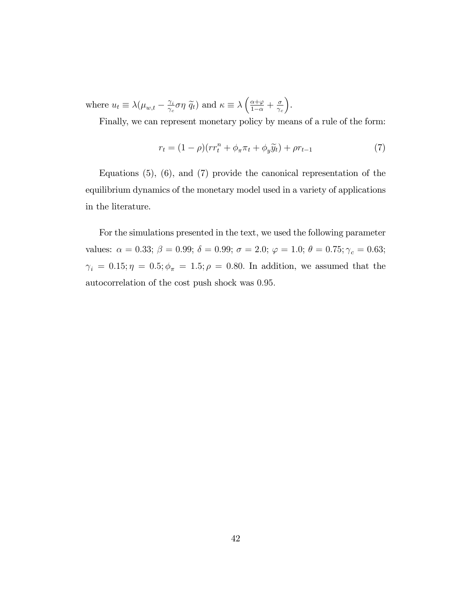where  $u_t \equiv \lambda (\mu_{w,t} - \frac{\gamma_i}{\gamma_c})$  $\frac{\gamma_i}{\gamma_c} \sigma \eta \ \widetilde{q}_t$  and  $\kappa \equiv \lambda \left( \frac{\alpha + \varphi}{1 - \alpha} + \frac{\sigma}{\gamma_c} \right)$  $\gamma_c$ .

Finally, we can represent monetary policy by means of a rule of the form:

$$
r_t = (1 - \rho)(rr_t^n + \phi_\pi \pi_t + \phi_y \widetilde{y}_t) + \rho r_{t-1}
$$
\n<sup>(7)</sup>

Equations (5), (6), and (7) provide the canonical representation of the equilibrium dynamics of the monetary model used in a variety of applications in the literature.

For the simulations presented in the text, we used the following parameter values:  $\alpha = 0.33; \beta = 0.99; \delta = 0.99; \sigma = 2.0; \varphi = 1.0; \theta = 0.75; \gamma_c = 0.63;$  $\gamma_i \, = \, 0.15; \eta \, = \, 0.5; \phi_\pi \, = \, 1.5; \rho \, = \, 0.80.$  In addition, we assumed that the autocorrelation of the cost push shock was 0:95: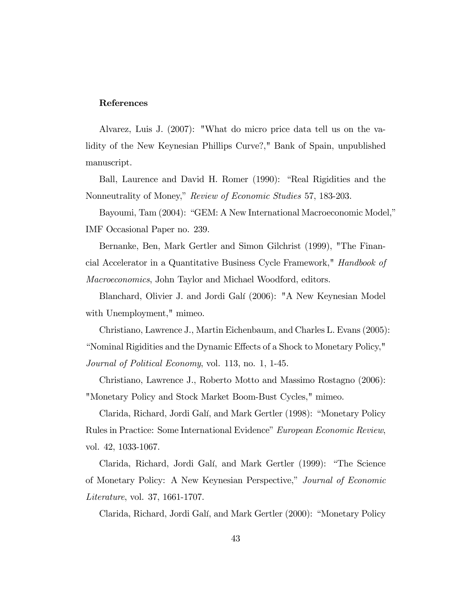#### References

Alvarez, Luis J. (2007): "What do micro price data tell us on the validity of the New Keynesian Phillips Curve?," Bank of Spain, unpublished manuscript.

Ball, Laurence and David H. Romer (1990): "Real Rigidities and the Nonneutrality of Money," Review of Economic Studies 57, 183-203.

Bayoumi, Tam (2004): "GEM: A New International Macroeconomic Model," IMF Occasional Paper no. 239.

Bernanke, Ben, Mark Gertler and Simon Gilchrist (1999), "The Financial Accelerator in a Quantitative Business Cycle Framework," Handbook of Macroeconomics, John Taylor and Michael Woodford, editors.

Blanchard, Olivier J. and Jordi Galí (2006): "A New Keynesian Model with Unemployment," mimeo.

Christiano, Lawrence J., Martin Eichenbaum, and Charles L. Evans (2005): ìNominal Rigidities and the Dynamic E§ects of a Shock to Monetary Policy," Journal of Political Economy, vol. 113, no. 1, 1-45.

Christiano, Lawrence J., Roberto Motto and Massimo Rostagno (2006): "Monetary Policy and Stock Market Boom-Bust Cycles," mimeo.

Clarida, Richard, Jordi Galí, and Mark Gertler (1998): "Monetary Policy Rules in Practice: Some International Evidence" European Economic Review, vol. 42, 1033-1067.

Clarida, Richard, Jordi Galí, and Mark Gertler (1999): "The Science of Monetary Policy: A New Keynesian Perspective," Journal of Economic Literature, vol. 37, 1661-1707.

Clarida, Richard, Jordi Galí, and Mark Gertler (2000): "Monetary Policy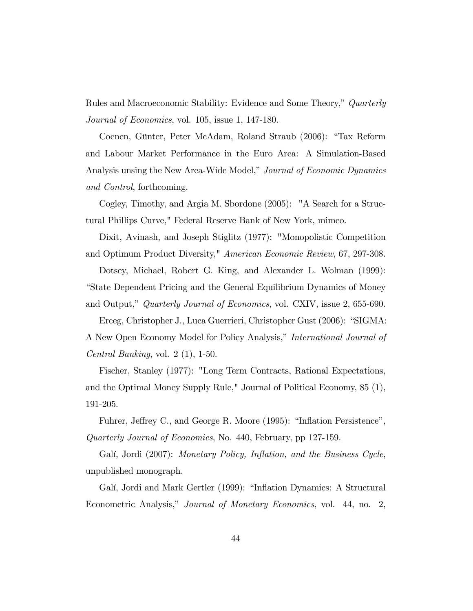Rules and Macroeconomic Stability: Evidence and Some Theory," Quarterly Journal of Economics, vol. 105, issue 1, 147-180.

Coenen, Günter, Peter McAdam, Roland Straub (2006): "Tax Reform and Labour Market Performance in the Euro Area: A Simulation-Based Analysis unsing the New Area-Wide Model," Journal of Economic Dynamics and Control, forthcoming.

Cogley, Timothy, and Argia M. Sbordone (2005): "A Search for a Structural Phillips Curve," Federal Reserve Bank of New York, mimeo.

Dixit, Avinash, and Joseph Stiglitz (1977): "Monopolistic Competition and Optimum Product Diversity," American Economic Review, 67, 297-308.

Dotsey, Michael, Robert G. King, and Alexander L. Wolman (1999): ìState Dependent Pricing and the General Equilibrium Dynamics of Money and Output," Quarterly Journal of Economics, vol. CXIV, issue 2, 655-690.

Erceg, Christopher J., Luca Guerrieri, Christopher Gust (2006): "SIGMA: A New Open Economy Model for Policy Analysis," International Journal of *Central Banking*, vol.  $2(1)$ , 1-50.

Fischer, Stanley (1977): "Long Term Contracts, Rational Expectations, and the Optimal Money Supply Rule," Journal of Political Economy, 85 (1), 191-205.

Fuhrer, Jeffrey C., and George R. Moore (1995): "Inflation Persistence", Quarterly Journal of Economics, No. 440, February, pp 127-159.

Galí, Jordi (2007): Monetary Policy, Inflation, and the Business Cycle, unpublished monograph.

Galí, Jordi and Mark Gertler (1999): "Inflation Dynamics: A Structural Econometric Analysis," Journal of Monetary Economics, vol. 44, no. 2,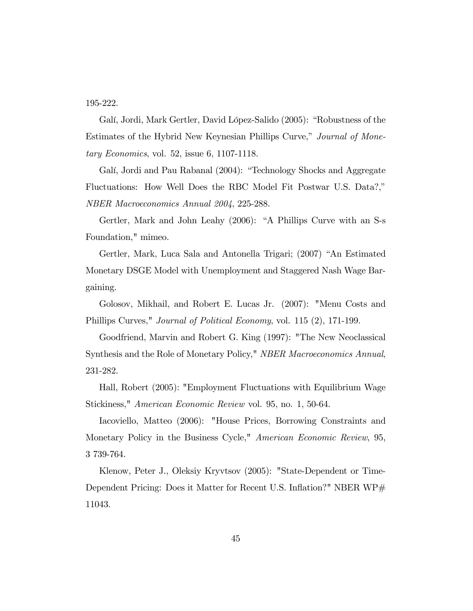195-222.

Galí, Jordi, Mark Gertler, David López-Salido (2005): "Robustness of the Estimates of the Hybrid New Keynesian Phillips Curve," Journal of Monetary Economics, vol. 52, issue 6, 1107-1118.

Galí, Jordi and Pau Rabanal (2004): "Technology Shocks and Aggregate Fluctuations: How Well Does the RBC Model Fit Postwar U.S. Data?," NBER Macroeconomics Annual 2004, 225-288.

Gertler, Mark and John Leahy (2006): "A Phillips Curve with an S-s Foundation," mimeo.

Gertler, Mark, Luca Sala and Antonella Trigari; (2007) "An Estimated Monetary DSGE Model with Unemployment and Staggered Nash Wage Bargaining.

Golosov, Mikhail, and Robert E. Lucas Jr. (2007): "Menu Costs and Phillips Curves," Journal of Political Economy, vol. 115 (2), 171-199.

Goodfriend, Marvin and Robert G. King (1997): "The New Neoclassical Synthesis and the Role of Monetary Policy," NBER Macroeconomics Annual, 231-282.

Hall, Robert (2005): "Employment Fluctuations with Equilibrium Wage Stickiness," American Economic Review vol. 95, no. 1, 50-64.

Iacoviello, Matteo (2006): "House Prices, Borrowing Constraints and Monetary Policy in the Business Cycle," *American Economic Review*, 95, 3 739-764.

Klenow, Peter J., Oleksiy Kryvtsov (2005): "State-Dependent or Time-Dependent Pricing: Does it Matter for Recent U.S. Inflation?" NBER WP# 11043.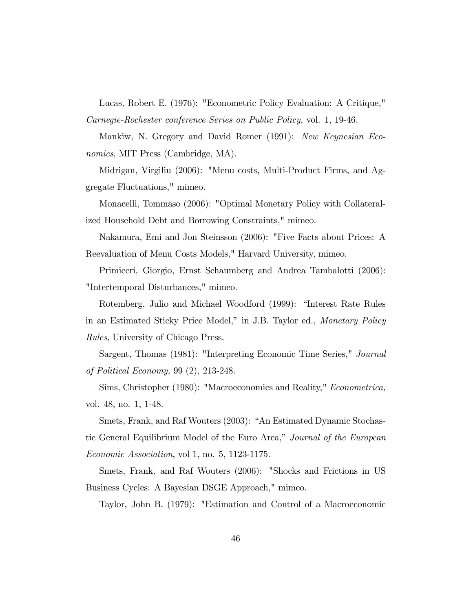Lucas, Robert E. (1976): "Econometric Policy Evaluation: A Critique," Carnegie-Rochester conference Series on Public Policy, vol. 1, 19-46.

Mankiw, N. Gregory and David Romer (1991): New Keynesian Economics, MIT Press (Cambridge, MA).

Midrigan, Virgiliu (2006): "Menu costs, Multi-Product Firms, and Aggregate Fluctuations," mimeo.

Monacelli, Tommaso (2006): "Optimal Monetary Policy with Collateralized Household Debt and Borrowing Constraints," mimeo.

Nakamura, Emi and Jon Steinsson (2006): "Five Facts about Prices: A Reevaluation of Menu Costs Models," Harvard University, mimeo.

Primiceri, Giorgio, Ernst Schaumberg and Andrea Tambalotti (2006): "Intertemporal Disturbances," mimeo.

Rotemberg, Julio and Michael Woodford (1999): "Interest Rate Rules in an Estimated Sticky Price Model," in J.B. Taylor ed., *Monetary Policy* Rules, University of Chicago Press.

Sargent, Thomas (1981): "Interpreting Economic Time Series," Journal of Political Economy, 99 (2), 213-248.

Sims, Christopher (1980): "Macroeconomics and Reality," Econometrica, vol. 48, no. 1, 1-48.

Smets, Frank, and Raf Wouters (2003): "An Estimated Dynamic Stochastic General Equilibrium Model of the Euro Area," Journal of the European Economic Association, vol 1, no. 5, 1123-1175.

Smets, Frank, and Raf Wouters (2006): "Shocks and Frictions in US Business Cycles: A Bayesian DSGE Approach," mimeo.

Taylor, John B. (1979): "Estimation and Control of a Macroeconomic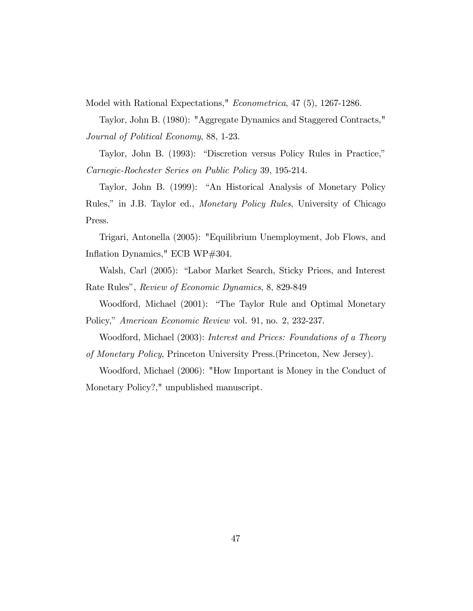Model with Rational Expectations," Econometrica, 47 (5), 1267-1286.

Taylor, John B. (1980): "Aggregate Dynamics and Staggered Contracts," Journal of Political Economy, 88, 1-23.

Taylor, John B. (1993): "Discretion versus Policy Rules in Practice," Carnegie-Rochester Series on Public Policy 39, 195-214.

Taylor, John B. (1999): "An Historical Analysis of Monetary Policy Rules," in J.B. Taylor ed., *Monetary Policy Rules*, University of Chicago Press.

Trigari, Antonella (2005): "Equilibrium Unemployment, Job Flows, and Inflation Dynamics," ECB WP#304.

Walsh, Carl (2005): "Labor Market Search, Sticky Prices, and Interest Rate Rules", Review of Economic Dynamics, 8, 829-849

Woodford, Michael (2001): "The Taylor Rule and Optimal Monetary Policy," American Economic Review vol. 91, no. 2, 232-237.

Woodford, Michael (2003): Interest and Prices: Foundations of a Theory

of Monetary Policy, Princeton University Press.(Princeton, New Jersey).

Woodford, Michael (2006): "How Important is Money in the Conduct of Monetary Policy?," unpublished manuscript.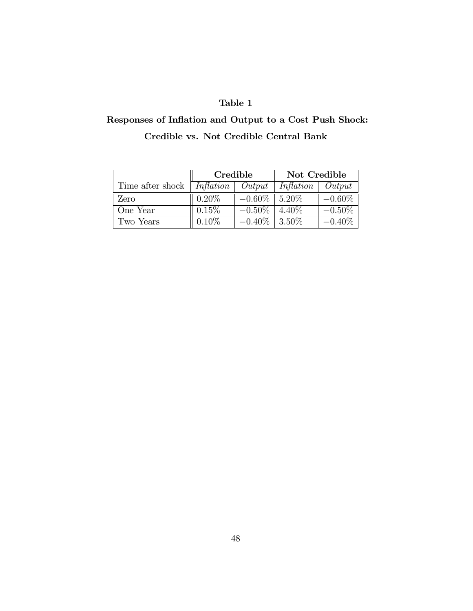## Table 1

# Responses of Inflation and Output to a Cost Push Shock: Credible vs. Not Credible Central Bank

|                                                 | Credible |                    | Not Credible |            |
|-------------------------------------------------|----------|--------------------|--------------|------------|
| Time after shock $\parallel Inflation$   Output |          |                    | Inflation    | $\sqrt{0}$ |
| Zero                                            | $0.20\%$ | $-0.60\%$   5.20\% |              | $-0.60\%$  |
| One Year                                        | 0.15%    | $-0.50\%$          | 4.40\%       | $-0.50\%$  |
| Two Years                                       | $0.10\%$ | $-0.40\%$   3.50\% |              | $-0.40\%$  |